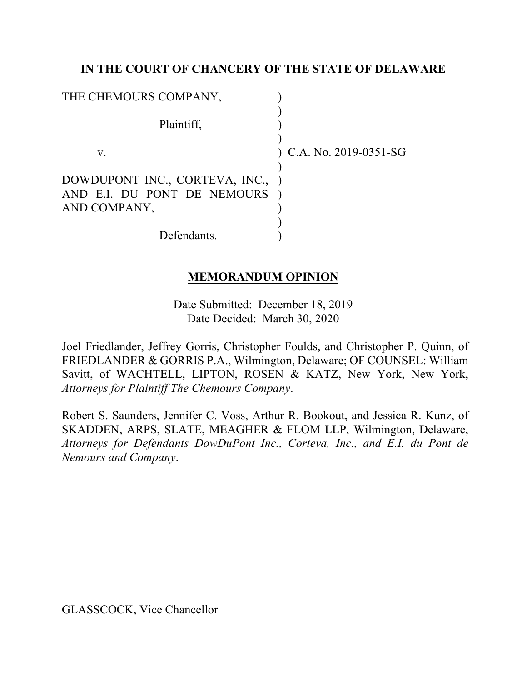### **IN THE COURT OF CHANCERY OF THE STATE OF DELAWARE**

| THE CHEMOURS COMPANY,                                                         |                           |
|-------------------------------------------------------------------------------|---------------------------|
| Plaintiff,                                                                    |                           |
| V.                                                                            | $(C.A. No. 2019-0351-SG)$ |
| DOWDUPONT INC., CORTEVA, INC.,<br>AND E.I. DU PONT DE NEMOURS<br>AND COMPANY, |                           |
| Defendants.                                                                   |                           |

### **MEMORANDUM OPINION**

Date Submitted: December 18, 2019 Date Decided: March 30, 2020

Joel Friedlander, Jeffrey Gorris, Christopher Foulds, and Christopher P. Quinn, of FRIEDLANDER & GORRIS P.A., Wilmington, Delaware; OF COUNSEL: William Savitt, of WACHTELL, LIPTON, ROSEN & KATZ, New York, New York, *Attorneys for Plaintiff The Chemours Company*.

Robert S. Saunders, Jennifer C. Voss, Arthur R. Bookout, and Jessica R. Kunz, of SKADDEN, ARPS, SLATE, MEAGHER & FLOM LLP, Wilmington, Delaware, *Attorneys for Defendants DowDuPont Inc., Corteva, Inc., and E.I. du Pont de Nemours and Company*.

GLASSCOCK, Vice Chancellor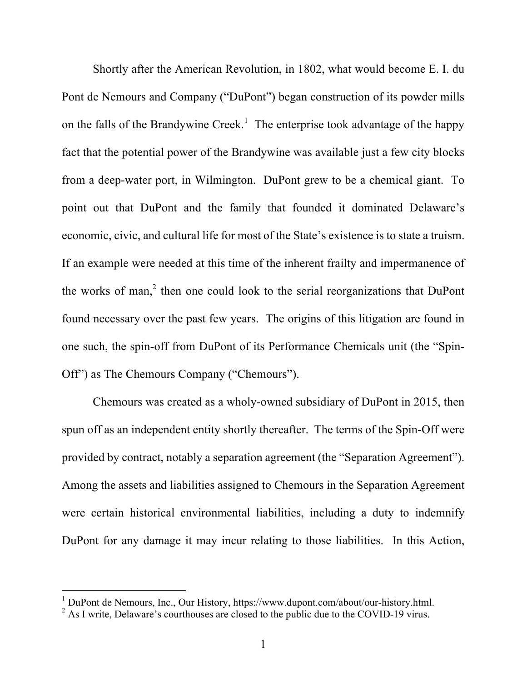Shortly after the American Revolution, in 1802, what would become E. I. du Pont de Nemours and Company ("DuPont") began construction of its powder mills on the falls of the Brandywine Creek.<sup>1</sup> The enterprise took advantage of the happy fact that the potential power of the Brandywine was available just a few city blocks from a deep-water port, in Wilmington. DuPont grew to be a chemical giant. To point out that DuPont and the family that founded it dominated Delaware's economic, civic, and cultural life for most of the State's existence is to state a truism. If an example were needed at this time of the inherent frailty and impermanence of the works of man,<sup>2</sup> then one could look to the serial reorganizations that DuPont found necessary over the past few years. The origins of this litigation are found in one such, the spin-off from DuPont of its Performance Chemicals unit (the "Spin-Off") as The Chemours Company ("Chemours").

Chemours was created as a wholy-owned subsidiary of DuPont in 2015, then spun off as an independent entity shortly thereafter. The terms of the Spin-Off were provided by contract, notably a separation agreement (the "Separation Agreement"). Among the assets and liabilities assigned to Chemours in the Separation Agreement were certain historical environmental liabilities, including a duty to indemnify DuPont for any damage it may incur relating to those liabilities. In this Action,

<sup>&</sup>lt;sup>1</sup> DuPont de Nemours, Inc., Our History, https://www.dupont.com/about/our-history.html.<br><sup>2</sup> As I write, Delaware's courthouses are closed to the public due to the COVID-19 virus.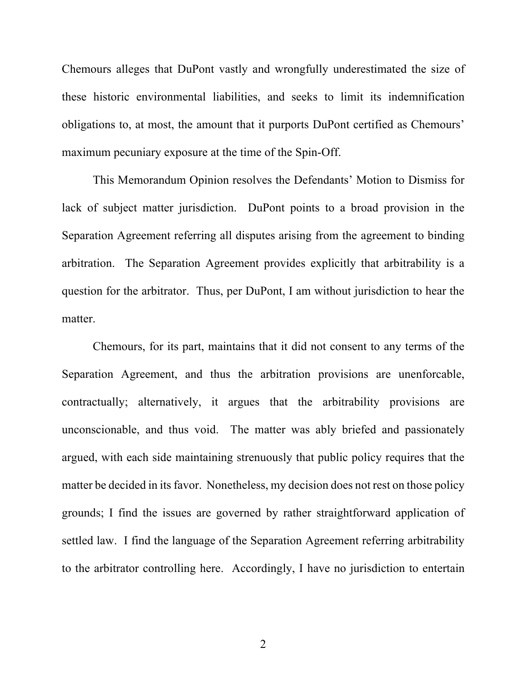Chemours alleges that DuPont vastly and wrongfully underestimated the size of these historic environmental liabilities, and seeks to limit its indemnification obligations to, at most, the amount that it purports DuPont certified as Chemours' maximum pecuniary exposure at the time of the Spin-Off.

This Memorandum Opinion resolves the Defendants' Motion to Dismiss for lack of subject matter jurisdiction. DuPont points to a broad provision in the Separation Agreement referring all disputes arising from the agreement to binding arbitration. The Separation Agreement provides explicitly that arbitrability is a question for the arbitrator. Thus, per DuPont, I am without jurisdiction to hear the matter.

Chemours, for its part, maintains that it did not consent to any terms of the Separation Agreement, and thus the arbitration provisions are unenforcable, contractually; alternatively, it argues that the arbitrability provisions are unconscionable, and thus void. The matter was ably briefed and passionately argued, with each side maintaining strenuously that public policy requires that the matter be decided in its favor. Nonetheless, my decision does not rest on those policy grounds; I find the issues are governed by rather straightforward application of settled law. I find the language of the Separation Agreement referring arbitrability to the arbitrator controlling here. Accordingly, I have no jurisdiction to entertain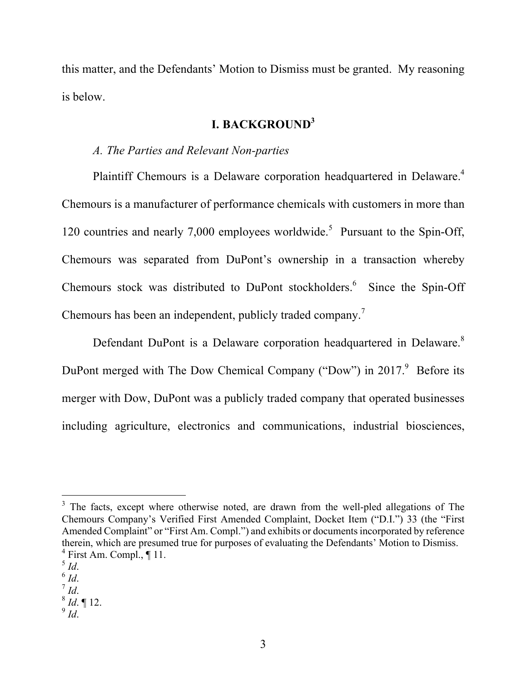this matter, and the Defendants' Motion to Dismiss must be granted. My reasoning is below.

# **I. BACKGROUND3**

## *A. The Parties and Relevant Non-parties*

Plaintiff Chemours is a Delaware corporation headquartered in Delaware.<sup>4</sup> Chemours is a manufacturer of performance chemicals with customers in more than 120 countries and nearly 7,000 employees worldwide.<sup>5</sup> Pursuant to the Spin-Off, Chemours was separated from DuPont's ownership in a transaction whereby Chemours stock was distributed to DuPont stockholders. 6 Since the Spin-Off Chemours has been an independent, publicly traded company.<sup>7</sup>

Defendant DuPont is a Delaware corporation headquartered in Delaware.<sup>8</sup> DuPont merged with The Dow Chemical Company ("Dow") in  $2017$ .<sup>9</sup> Before its merger with Dow, DuPont was a publicly traded company that operated businesses including agriculture, electronics and communications, industrial biosciences,

<sup>&</sup>lt;sup>3</sup> The facts, except where otherwise noted, are drawn from the well-pled allegations of The Chemours Company's Verified First Amended Complaint, Docket Item ("D.I.") 33 (the "First Amended Complaint" or "First Am. Compl.") and exhibits or documents incorporated by reference therein, which are presumed true for purposes of evaluating the Defendants' Motion to Dismiss.  $^{4}$  First Am. Compl., ¶ 11.<br> $^{5}$  *Id.* 

<sup>5</sup> *Id*. 6 *Id*. 7 *Id*. 8 *Id*. ¶ 12.

 $9$  *Id.*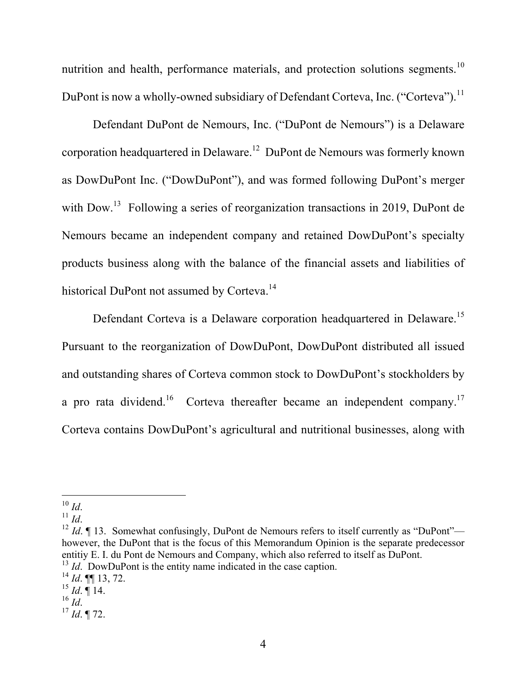nutrition and health, performance materials, and protection solutions segments.<sup>10</sup> DuPont is now a wholly-owned subsidiary of Defendant Corteva, Inc. ("Corteva").<sup>11</sup>

Defendant DuPont de Nemours, Inc. ("DuPont de Nemours") is a Delaware corporation headquartered in Delaware.12 DuPont de Nemours was formerly known as DowDuPont Inc. ("DowDuPont"), and was formed following DuPont's merger with Dow.<sup>13</sup> Following a series of reorganization transactions in 2019, DuPont de Nemours became an independent company and retained DowDuPont's specialty products business along with the balance of the financial assets and liabilities of historical DuPont not assumed by Corteva.<sup>14</sup>

Defendant Corteva is a Delaware corporation headquartered in Delaware.<sup>15</sup> Pursuant to the reorganization of DowDuPont, DowDuPont distributed all issued and outstanding shares of Corteva common stock to DowDuPont's stockholders by a pro rata dividend.<sup>16</sup> Corteva thereafter became an independent company.<sup>17</sup> Corteva contains DowDuPont's agricultural and nutritional businesses, along with

 $10$  Id.

<sup>&</sup>lt;sup>11</sup> *Id.* <sup>12</sup> *Id*. 13. Somewhat confusingly, DuPont de Nemours refers to itself currently as "DuPont" however, the DuPont that is the focus of this Memorandum Opinion is the separate predecessor entitiy E. I. du Pont de Nemours and Company, which also referred to itself as DuPont.

<sup>&</sup>lt;sup>13</sup> *Id*. DowDuPont is the entity name indicated in the case caption.

 $^{14}$  *Id*. **[11** 13, 72.

 $\frac{15}{16}$  *Id*.  $\frac{4}{16}$  14.

 $^{17}$  *Id*. ¶ 72.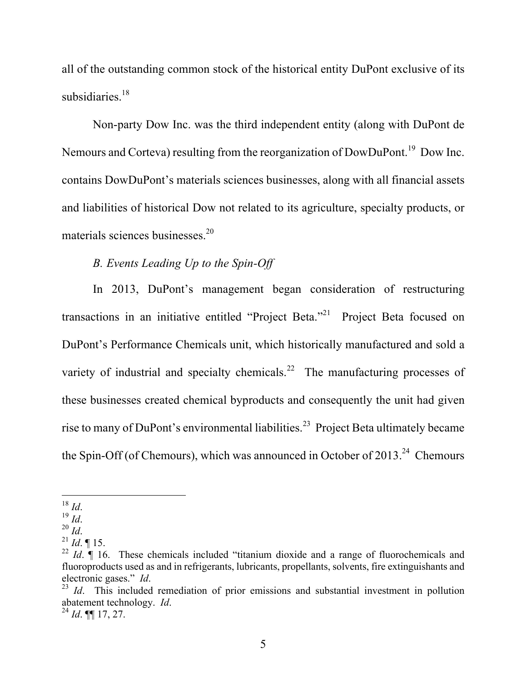all of the outstanding common stock of the historical entity DuPont exclusive of its subsidiaries.<sup>18</sup>

Non-party Dow Inc. was the third independent entity (along with DuPont de Nemours and Corteva) resulting from the reorganization of DowDuPont.<sup>19</sup> Dow Inc. contains DowDuPont's materials sciences businesses, along with all financial assets and liabilities of historical Dow not related to its agriculture, specialty products, or materials sciences businesses. 20

# *B. Events Leading Up to the Spin-Off*

In 2013, DuPont's management began consideration of restructuring transactions in an initiative entitled "Project Beta."<sup>21</sup> Project Beta focused on DuPont's Performance Chemicals unit, which historically manufactured and sold a variety of industrial and specialty chemicals.<sup>22</sup> The manufacturing processes of these businesses created chemical byproducts and consequently the unit had given rise to many of DuPont's environmental liabilities.<sup>23</sup> Project Beta ultimately became the Spin-Off (of Chemours), which was announced in October of  $2013<sup>24</sup>$  Chemours

 $^{18}\,$  Id.

<sup>18</sup> *Id*. 19 *Id*. 20 *Id*. 21 *Id*. ¶ 15.

<sup>&</sup>lt;sup>22</sup> *Id.*  $\int$  16. These chemicals included "titanium dioxide and a range of fluorochemicals and fluoroproducts used as and in refrigerants, lubricants, propellants, solvents, fire extinguishants and electronic gases." *Id*.<br><sup>23</sup> *Id*. This included remediation of prior emissions and substantial investment in pollution

abatement technology. *Id*. <sup>24</sup> *Id*. ¶¶ 17, 27.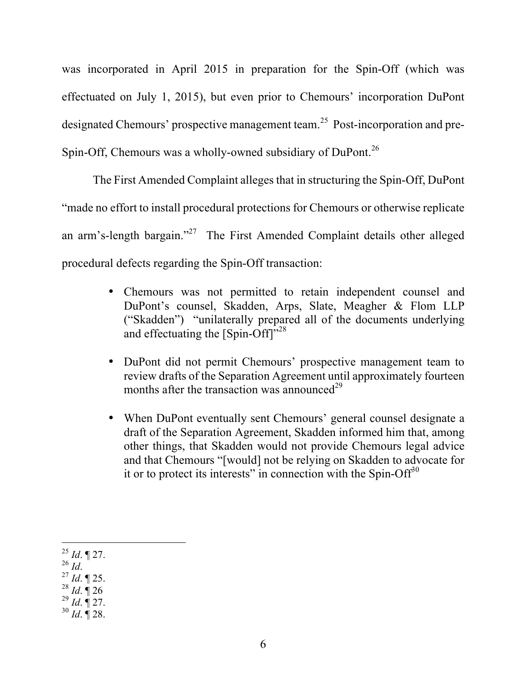was incorporated in April 2015 in preparation for the Spin-Off (which was effectuated on July 1, 2015), but even prior to Chemours' incorporation DuPont designated Chemours' prospective management team.25 Post-incorporation and pre-Spin-Off, Chemours was a wholly-owned subsidiary of DuPont.<sup>26</sup>

The First Amended Complaint alleges that in structuring the Spin-Off, DuPont "made no effort to install procedural protections for Chemours or otherwise replicate an arm's-length bargain."<sup>27</sup> The First Amended Complaint details other alleged procedural defects regarding the Spin-Off transaction:

- Chemours was not permitted to retain independent counsel and DuPont's counsel, Skadden, Arps, Slate, Meagher & Flom LLP ("Skadden") "unilaterally prepared all of the documents underlying and effectuating the [Spin-Off]"<sup>28</sup>
- DuPont did not permit Chemours' prospective management team to review drafts of the Separation Agreement until approximately fourteen months after the transaction was announced<sup>29</sup>
- When DuPont eventually sent Chemours' general counsel designate a draft of the Separation Agreement, Skadden informed him that, among other things, that Skadden would not provide Chemours legal advice and that Chemours "[would] not be relying on Skadden to advocate for it or to protect its interests" in connection with the Spin-Off<sup>30</sup>

<sup>28</sup> *Id*. ¶ 26

 $\overline{a}$ <sup>25</sup> *Id*. ¶ 27.

<sup>26</sup> *Id*. <sup>27</sup> *Id*. ¶ 25.

<sup>29</sup> *Id*. ¶ 27.

<sup>30</sup> *Id*. ¶ 28.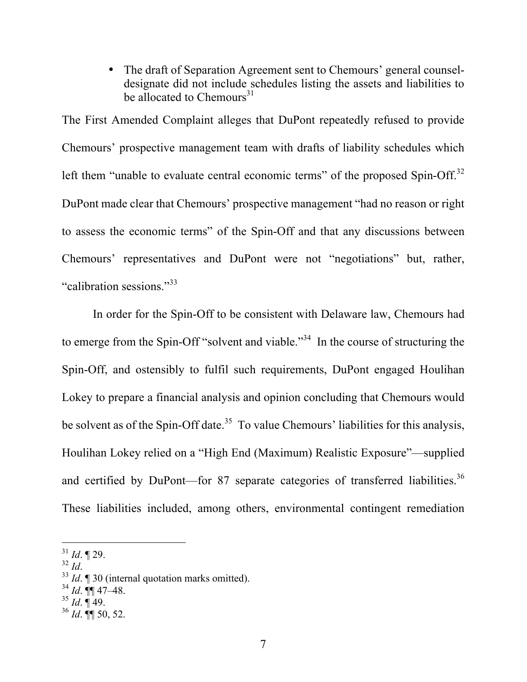• The draft of Separation Agreement sent to Chemours' general counseldesignate did not include schedules listing the assets and liabilities to be allocated to Chemours<sup>31</sup>

The First Amended Complaint alleges that DuPont repeatedly refused to provide Chemours' prospective management team with drafts of liability schedules which left them "unable to evaluate central economic terms" of the proposed Spin-Off.<sup>32</sup> DuPont made clear that Chemours' prospective management "had no reason or right to assess the economic terms" of the Spin-Off and that any discussions between Chemours' representatives and DuPont were not "negotiations" but, rather, "calibration sessions."<sup>33</sup>

In order for the Spin-Off to be consistent with Delaware law, Chemours had to emerge from the Spin-Off "solvent and viable."<sup>34</sup> In the course of structuring the Spin-Off, and ostensibly to fulfil such requirements, DuPont engaged Houlihan Lokey to prepare a financial analysis and opinion concluding that Chemours would be solvent as of the Spin-Off date.<sup>35</sup> To value Chemours' liabilities for this analysis, Houlihan Lokey relied on a "High End (Maximum) Realistic Exposure"—supplied and certified by DuPont—for 87 separate categories of transferred liabilities.<sup>36</sup> These liabilities included, among others, environmental contingent remediation

- $34$  *Id*. **¶** 47–48.
- <sup>35</sup> *Id*. ¶ 49.

 $\overline{a}$  $\frac{31}{32}$  *Id.* 129.

<sup>&</sup>lt;sup>33</sup> *Id*. **¶** 30 (internal quotation marks omitted).

<sup>36</sup> *Id*. ¶¶ 50, 52.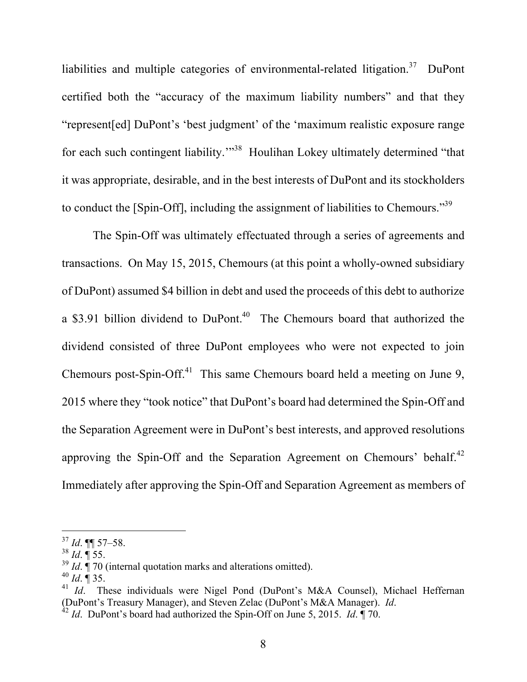liabilities and multiple categories of environmental-related litigation.<sup>37</sup> DuPont certified both the "accuracy of the maximum liability numbers" and that they "represent[ed] DuPont's 'best judgment' of the 'maximum realistic exposure range for each such contingent liability.<sup>"38</sup> Houlihan Lokey ultimately determined "that it was appropriate, desirable, and in the best interests of DuPont and its stockholders to conduct the [Spin-Off], including the assignment of liabilities to Chemours."39

The Spin-Off was ultimately effectuated through a series of agreements and transactions. On May 15, 2015, Chemours (at this point a wholly-owned subsidiary of DuPont) assumed \$4 billion in debt and used the proceeds of this debt to authorize a \$3.91 billion dividend to  $Du\text{Pont.}^{40}$  The Chemours board that authorized the dividend consisted of three DuPont employees who were not expected to join Chemours post-Spin-Off.<sup>41</sup> This same Chemours board held a meeting on June 9, 2015 where they "took notice" that DuPont's board had determined the Spin-Off and the Separation Agreement were in DuPont's best interests, and approved resolutions approving the Spin-Off and the Separation Agreement on Chemours' behalf.<sup>42</sup> Immediately after approving the Spin-Off and Separation Agreement as members of

<sup>37</sup> *Id*. ¶¶ 57–58.

 $38$  *Id*.  $\sqrt{\phantom{a}}$  55.

<sup>&</sup>lt;sup>39</sup> *Id*.  $\dot{A}$  70 (internal quotation marks and alterations omitted).

 $^{40}$  *Id*.  $\overline{9}$  35.

<sup>&</sup>lt;sup>41</sup> *Id.* These individuals were Nigel Pond (DuPont's M&A Counsel), Michael Heffernan (DuPont's Treasury Manager), and Steven Zelac (DuPont's M&A Manager). *Id*. <sup>42</sup> *Id*. DuPont's board had authorized the Spin-Off on June 5, 2015. *Id*. ¶ 70.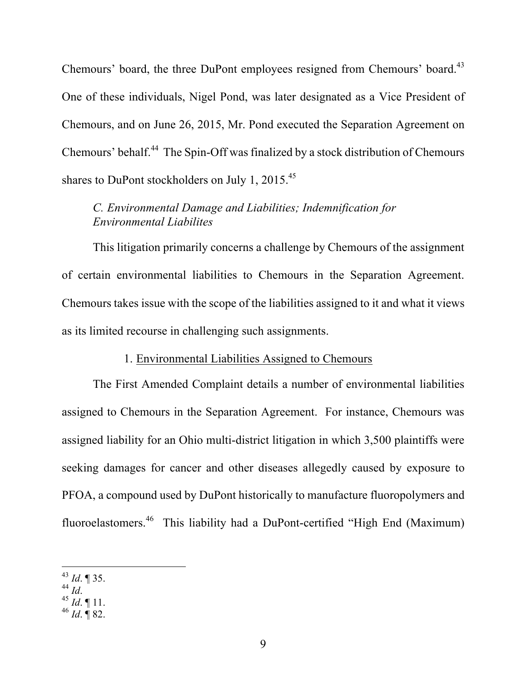Chemours' board, the three DuPont employees resigned from Chemours' board.<sup>43</sup> One of these individuals, Nigel Pond, was later designated as a Vice President of Chemours, and on June 26, 2015, Mr. Pond executed the Separation Agreement on Chemours' behalf.44 The Spin-Off was finalized by a stock distribution of Chemours shares to DuPont stockholders on July 1, 2015.<sup>45</sup>

# *C. Environmental Damage and Liabilities; Indemnification for Environmental Liabilites*

This litigation primarily concerns a challenge by Chemours of the assignment of certain environmental liabilities to Chemours in the Separation Agreement. Chemours takes issue with the scope of the liabilities assigned to it and what it views as its limited recourse in challenging such assignments.

#### 1. Environmental Liabilities Assigned to Chemours

The First Amended Complaint details a number of environmental liabilities assigned to Chemours in the Separation Agreement. For instance, Chemours was assigned liability for an Ohio multi-district litigation in which 3,500 plaintiffs were seeking damages for cancer and other diseases allegedly caused by exposure to PFOA, a compound used by DuPont historically to manufacture fluoropolymers and fluoroelastomers.46 This liability had a DuPont-certified "High End (Maximum)

 $\overline{a}$  $^{43}$  *Id.* 1 35.<br><sup>44</sup> *Id.* 

<sup>44</sup> *Id*. <sup>45</sup> *Id*. ¶ 11.

<sup>46</sup> *Id*. ¶ 82.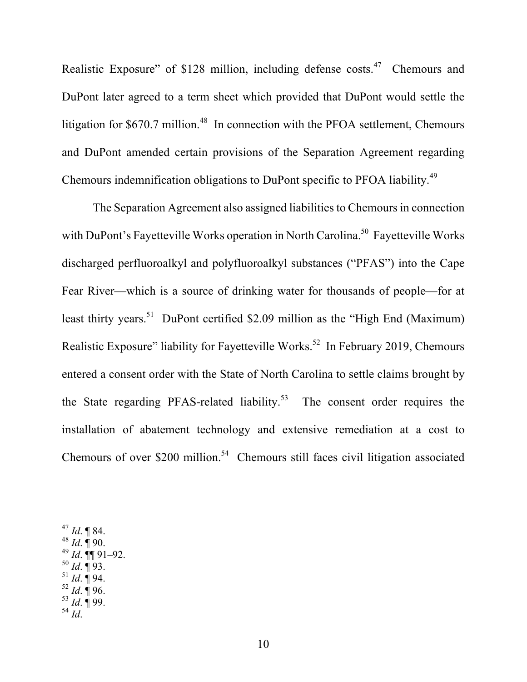Realistic Exposure" of \$128 million, including defense costs.<sup>47</sup> Chemours and DuPont later agreed to a term sheet which provided that DuPont would settle the litigation for \$670.7 million.<sup>48</sup> In connection with the PFOA settlement, Chemours and DuPont amended certain provisions of the Separation Agreement regarding Chemours indemnification obligations to DuPont specific to PFOA liability.<sup>49</sup>

The Separation Agreement also assigned liabilities to Chemours in connection with DuPont's Fayetteville Works operation in North Carolina.<sup>50</sup> Fayetteville Works discharged perfluoroalkyl and polyfluoroalkyl substances ("PFAS") into the Cape Fear River—which is a source of drinking water for thousands of people—for at least thirty years.<sup>51</sup> DuPont certified \$2.09 million as the "High End (Maximum) Realistic Exposure" liability for Fayetteville Works.<sup>52</sup> In February 2019, Chemours entered a consent order with the State of North Carolina to settle claims brought by the State regarding PFAS-related liability.<sup>53</sup> The consent order requires the installation of abatement technology and extensive remediation at a cost to Chemours of over  $$200$  million.<sup>54</sup> Chemours still faces civil litigation associated

- $50$  *Id.*  $\sqrt{93}$ .
- $^{51}$  *Id*. ¶ 94.
- $^{52}$  *Id*. **[96.**]
- <sup>53</sup> *Id*. ¶ 99. <sup>54</sup> *Id*.

<sup>47</sup> *Id*. ¶ 84.

<sup>48</sup> *Id*. ¶ 90.

 $^{49}$  *Id*.  $\P\P$  91–92.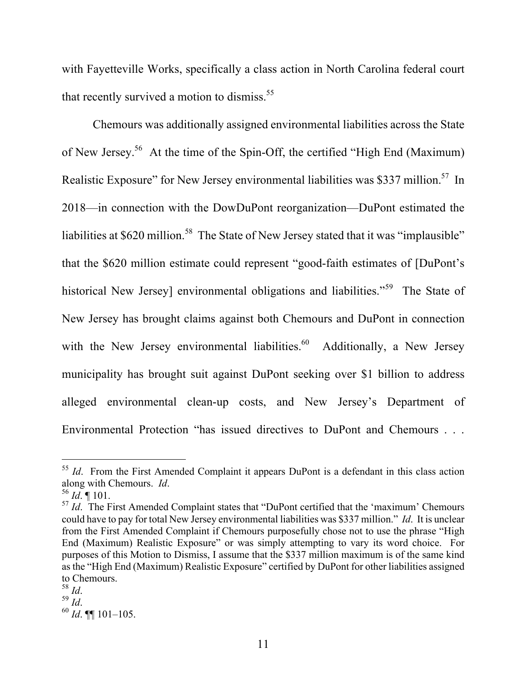with Fayetteville Works, specifically a class action in North Carolina federal court that recently survived a motion to dismiss.<sup>55</sup>

Chemours was additionally assigned environmental liabilities across the State of New Jersey.56 At the time of the Spin-Off, the certified "High End (Maximum) Realistic Exposure" for New Jersey environmental liabilities was \$337 million.<sup>57</sup> In 2018—in connection with the DowDuPont reorganization—DuPont estimated the liabilities at \$620 million.<sup>58</sup> The State of New Jersey stated that it was "implausible" that the \$620 million estimate could represent "good-faith estimates of [DuPont's historical New Jersey] environmental obligations and liabilities."<sup>59</sup> The State of New Jersey has brought claims against both Chemours and DuPont in connection with the New Jersey environmental liabilities.<sup>60</sup> Additionally, a New Jersey municipality has brought suit against DuPont seeking over \$1 billion to address alleged environmental clean-up costs, and New Jersey's Department of Environmental Protection "has issued directives to DuPont and Chemours . . .

<sup>&</sup>lt;sup>55</sup> *Id.* From the First Amended Complaint it appears DuPont is a defendant in this class action along with Chemours. *Id*. <sup>56</sup> *Id*. ¶ 101.

<sup>&</sup>lt;sup>57</sup> *Id.* The First Amended Complaint states that "DuPont certified that the 'maximum' Chemours could have to pay for total New Jersey environmental liabilities was \$337 million." *Id*. It is unclear from the First Amended Complaint if Chemours purposefully chose not to use the phrase "High End (Maximum) Realistic Exposure" or was simply attempting to vary its word choice. For purposes of this Motion to Dismiss, I assume that the \$337 million maximum is of the same kind as the "High End (Maximum) Realistic Exposure" certified by DuPont for other liabilities assigned to Chemours.<br> $\frac{58}{16}$  *Id.*<br> $\frac{59}{16}$ .

<sup>58</sup> *Id*. <sup>59</sup> *Id*. <sup>60</sup> *Id*. ¶¶ 101–105.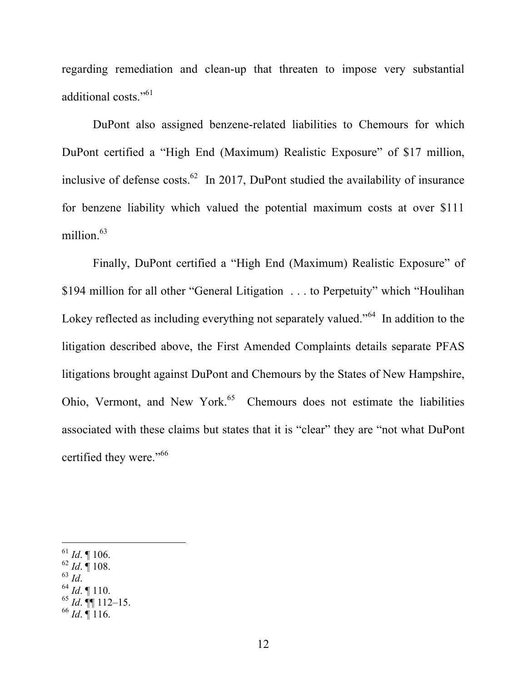regarding remediation and clean-up that threaten to impose very substantial additional costs."<sup>61</sup>

DuPont also assigned benzene-related liabilities to Chemours for which DuPont certified a "High End (Maximum) Realistic Exposure" of \$17 million, inclusive of defense costs. $62$  In 2017, DuPont studied the availability of insurance for benzene liability which valued the potential maximum costs at over \$111 million.<sup>63</sup>

Finally, DuPont certified a "High End (Maximum) Realistic Exposure" of \$194 million for all other "General Litigation . . . to Perpetuity" which "Houlihan Lokey reflected as including everything not separately valued."<sup>64</sup> In addition to the litigation described above, the First Amended Complaints details separate PFAS litigations brought against DuPont and Chemours by the States of New Hampshire, Ohio, Vermont, and New York.<sup>65</sup> Chemours does not estimate the liabilities associated with these claims but states that it is "clear" they are "not what DuPont certified they were."<sup>66</sup>

- $\frac{62}{63}$  *Id*.  $\stackrel{?}{\parallel}$  108.
- 

 $\overline{a}$ 

<sup>63</sup> *Id*. <sup>64</sup> *Id*. ¶ 110.

<sup>66</sup> *Id*. ¶ 116.

 $^{61}$  *Id*. ¶ 106.

 $^{65}$  *Id*.  $^{4}$  112–15.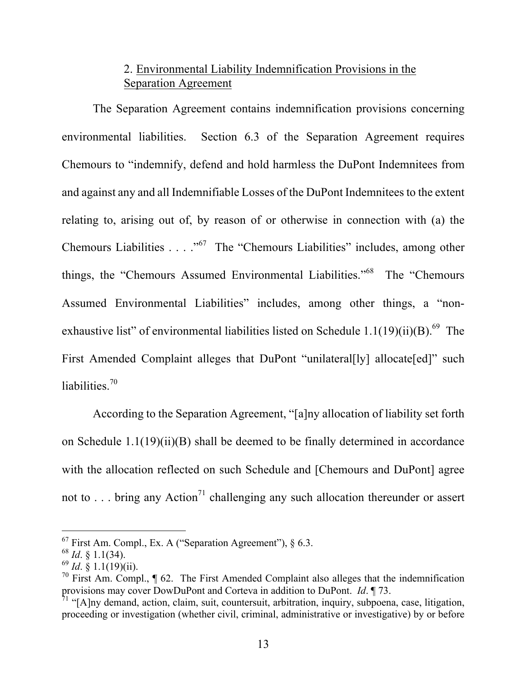# 2. Environmental Liability Indemnification Provisions in the Separation Agreement

The Separation Agreement contains indemnification provisions concerning environmental liabilities. Section 6.3 of the Separation Agreement requires Chemours to "indemnify, defend and hold harmless the DuPont Indemnitees from and against any and all Indemnifiable Losses of the DuPont Indemnitees to the extent relating to, arising out of, by reason of or otherwise in connection with (a) the Chemours Liabilities . . . . "<sup>67</sup> The "Chemours Liabilities" includes, among other things, the "Chemours Assumed Environmental Liabilities."68 The "Chemours Assumed Environmental Liabilities" includes, among other things, a "nonexhaustive list" of environmental liabilities listed on Schedule  $1.1(19)(ii)(B)$ .<sup>69</sup> The First Amended Complaint alleges that DuPont "unilateral[ly] allocate[ed]" such liabilities.<sup>70</sup>

According to the Separation Agreement, "[a]ny allocation of liability set forth on Schedule 1.1(19)(ii)(B) shall be deemed to be finally determined in accordance with the allocation reflected on such Schedule and [Chemours and DuPont] agree not to  $\ldots$  bring any Action<sup>71</sup> challenging any such allocation thereunder or assert

 $67$  First Am. Compl., Ex. A ("Separation Agreement"),  $\S$  6.3.

 $^{68}$  *Id.* § 1.1(34).

<sup>69</sup> *Id*. § 1.1(19)(ii).

<sup>&</sup>lt;sup>70</sup> First Am. Compl.,  $\P$  62. The First Amended Complaint also alleges that the indemnification provisions may cover DowDuPont and Corteva in addition to DuPont. *Id*. ¶ 73.

<sup>&</sup>lt;sup>1</sup> "[A]ny demand, action, claim, suit, countersuit, arbitration, inquiry, subpoena, case, litigation, proceeding or investigation (whether civil, criminal, administrative or investigative) by or before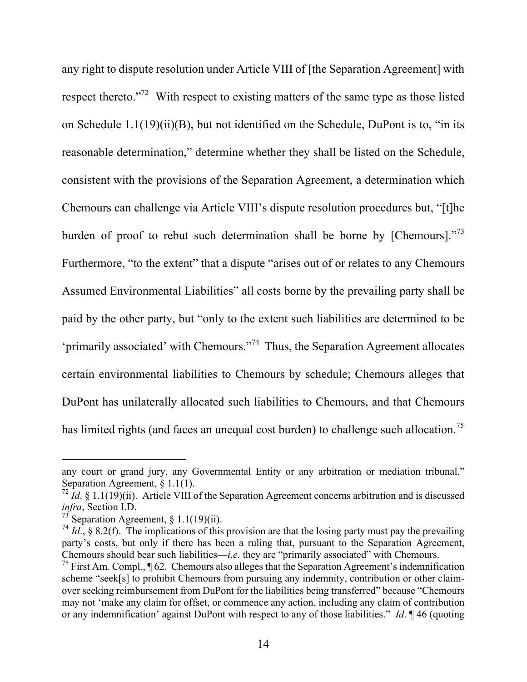any right to dispute resolution under Article VIII of [the Separation Agreement] with respect thereto."<sup>72</sup> With respect to existing matters of the same type as those listed on Schedule 1.1(19)(ii)(B), but not identified on the Schedule, DuPont is to, "in its reasonable determination," determine whether they shall be listed on the Schedule, consistent with the provisions of the Separation Agreement, a determination which Chemours can challenge via Article VIII's dispute resolution procedures but, "[t]he burden of proof to rebut such determination shall be borne by [Chemours]."<sup>73</sup> Furthermore, "to the extent" that a dispute "arises out of or relates to any Chemours Assumed Environmental Liabilities" all costs borne by the prevailing party shall be paid by the other party, but "only to the extent such liabilities are determined to be 'primarily associated' with Chemours."<sup>74</sup> Thus, the Separation Agreement allocates certain environmental liabilities to Chemours by schedule; Chemours alleges that DuPont has unilaterally allocated such liabilities to Chemours, and that Chemours has limited rights (and faces an unequal cost burden) to challenge such allocation.<sup>75</sup>

any court or grand jury, any Governmental Entity or any arbitration or mediation tribunal." Separation Agreement, § 1.1(1).

 $^{72}$  *Id.* § 1.1(19)(ii). Article VIII of the Separation Agreement concerns arbitration and is discussed *infra*, Section I.D.

<sup>&</sup>lt;sup>73</sup> Separation Agreement, § 1.1(19)(ii).

<sup>&</sup>lt;sup>74</sup> *Id.*, § 8.2(f). The implications of this provision are that the losing party must pay the prevailing party's costs, but only if there has been a ruling that, pursuant to the Separation Agreement, Chemours should bear such liabilities—*i.e.* they are "primarily associated" with Chemours.

<sup>&</sup>lt;sup>75</sup> First Am. Compl., ¶ 62. Chemours also alleges that the Separation Agreement's indemnification scheme "seek[s] to prohibit Chemours from pursuing any indemnity, contribution or other claimover seeking reimbursement from DuPont for the liabilities being transferred" because "Chemours may not 'make any claim for offset, or commence any action, including any claim of contribution or any indemnification' against DuPont with respect to any of those liabilities." *Id*. ¶ 46 (quoting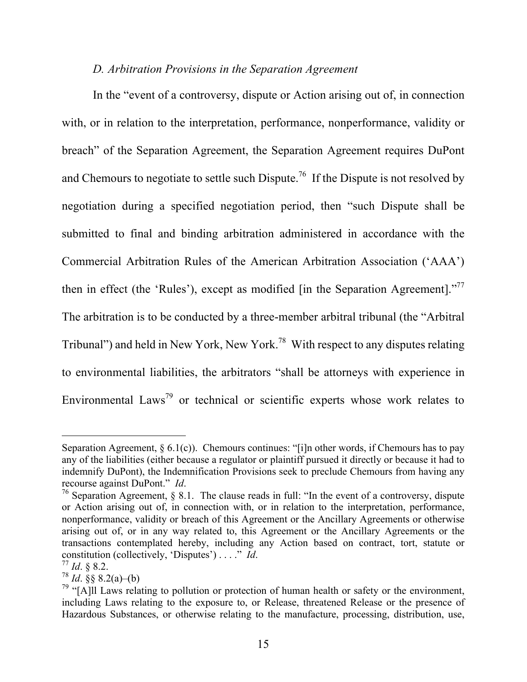#### *D. Arbitration Provisions in the Separation Agreement*

In the "event of a controversy, dispute or Action arising out of, in connection with, or in relation to the interpretation, performance, nonperformance, validity or breach" of the Separation Agreement, the Separation Agreement requires DuPont and Chemours to negotiate to settle such Dispute.<sup>76</sup> If the Dispute is not resolved by negotiation during a specified negotiation period, then "such Dispute shall be submitted to final and binding arbitration administered in accordance with the Commercial Arbitration Rules of the American Arbitration Association ('AAA') then in effect (the 'Rules'), except as modified [in the Separation Agreement]."<sup>77</sup> The arbitration is to be conducted by a three-member arbitral tribunal (the "Arbitral Tribunal") and held in New York, New York.<sup>78</sup> With respect to any disputes relating to environmental liabilities, the arbitrators "shall be attorneys with experience in Environmental Laws<sup>79</sup> or technical or scientific experts whose work relates to

Separation Agreement,  $\S 6.1(c)$ ). Chemours continues: "[i]n other words, if Chemours has to pay any of the liabilities (either because a regulator or plaintiff pursued it directly or because it had to indemnify DuPont), the Indemnification Provisions seek to preclude Chemours from having any recourse against DuPont." *Id*. <sup>76</sup> Separation Agreement, § 8.1. The clause reads in full: "In the event of a controversy, dispute

or Action arising out of, in connection with, or in relation to the interpretation, performance, nonperformance, validity or breach of this Agreement or the Ancillary Agreements or otherwise arising out of, or in any way related to, this Agreement or the Ancillary Agreements or the transactions contemplated hereby, including any Action based on contract, tort, statute or constitution (collectively, 'Disputes') . . . ." *Id*. <sup>77</sup> *Id*. § 8.2.

 $^{78}$  *Id.* §§ 8.2(a)–(b)

 $79$  "[A]ll Laws relating to pollution or protection of human health or safety or the environment, including Laws relating to the exposure to, or Release, threatened Release or the presence of Hazardous Substances, or otherwise relating to the manufacture, processing, distribution, use,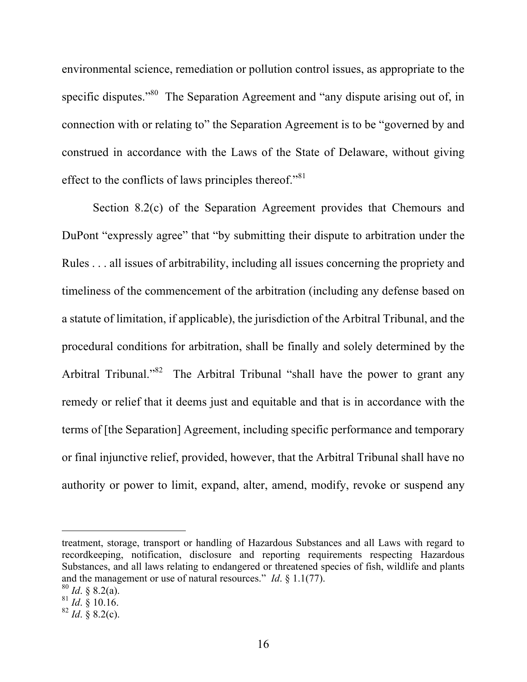environmental science, remediation or pollution control issues, as appropriate to the specific disputes."<sup>80</sup> The Separation Agreement and "any dispute arising out of, in connection with or relating to" the Separation Agreement is to be "governed by and construed in accordance with the Laws of the State of Delaware, without giving effect to the conflicts of laws principles thereof."<sup>81</sup>

Section 8.2(c) of the Separation Agreement provides that Chemours and DuPont "expressly agree" that "by submitting their dispute to arbitration under the Rules . . . all issues of arbitrability, including all issues concerning the propriety and timeliness of the commencement of the arbitration (including any defense based on a statute of limitation, if applicable), the jurisdiction of the Arbitral Tribunal, and the procedural conditions for arbitration, shall be finally and solely determined by the Arbitral Tribunal."<sup>82</sup> The Arbitral Tribunal "shall have the power to grant any remedy or relief that it deems just and equitable and that is in accordance with the terms of [the Separation] Agreement, including specific performance and temporary or final injunctive relief, provided, however, that the Arbitral Tribunal shall have no authority or power to limit, expand, alter, amend, modify, revoke or suspend any

treatment, storage, transport or handling of Hazardous Substances and all Laws with regard to recordkeeping, notification, disclosure and reporting requirements respecting Hazardous Substances, and all laws relating to endangered or threatened species of fish, wildlife and plants and the management or use of natural resources." *Id*. § 1.1(77).

<sup>80</sup> *Id*. § 8.2(a).

 $^{81}$  *Id.* § 10.16.

 $82$  *Id.*  $\frac{8}{9}$  8.2(c).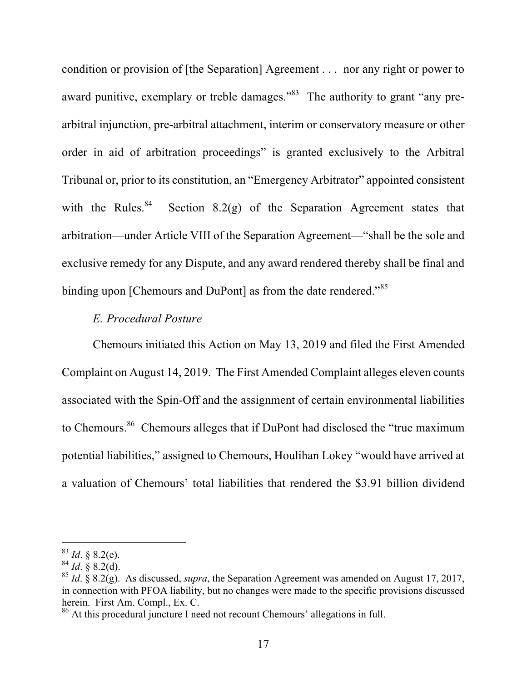condition or provision of [the Separation] Agreement . . . nor any right or power to award punitive, exemplary or treble damages."<sup>83</sup> The authority to grant "any prearbitral injunction, pre-arbitral attachment, interim or conservatory measure or other order in aid of arbitration proceedings" is granted exclusively to the Arbitral Tribunal or, prior to its constitution, an "Emergency Arbitrator" appointed consistent with the Rules.<sup>84</sup> Section 8.2(g) of the Separation Agreement states that arbitration—under Article VIII of the Separation Agreement—"shall be the sole and exclusive remedy for any Dispute, and any award rendered thereby shall be final and binding upon [Chemours and DuPont] as from the date rendered."<sup>85</sup>

### *E. Procedural Posture*

Chemours initiated this Action on May 13, 2019 and filed the First Amended Complaint on August 14, 2019. The First Amended Complaint alleges eleven counts associated with the Spin-Off and the assignment of certain environmental liabilities to Chemours.<sup>86</sup> Chemours alleges that if DuPont had disclosed the "true maximum" potential liabilities," assigned to Chemours, Houlihan Lokey "would have arrived at a valuation of Chemours' total liabilities that rendered the \$3.91 billion dividend

 $83$  *Id.* § 8.2(e).

 $^{84}$  *Id.* § 8.2(d).

<sup>85</sup> *Id*. § 8.2(g). As discussed, *supra*, the Separation Agreement was amended on August 17, 2017, in connection with PFOA liability, but no changes were made to the specific provisions discussed herein. First Am. Compl., Ex. C.<br><sup>86</sup> At this procedural juncture I need not recount Chemours' allegations in full.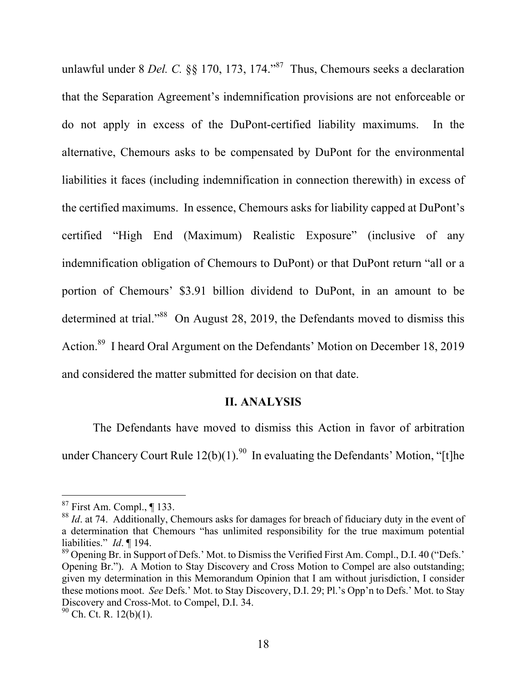unlawful under 8 *Del. C.* §§ 170, 173, 174." 87 Thus, Chemours seeks a declaration that the Separation Agreement's indemnification provisions are not enforceable or do not apply in excess of the DuPont-certified liability maximums. In the alternative, Chemours asks to be compensated by DuPont for the environmental liabilities it faces (including indemnification in connection therewith) in excess of the certified maximums. In essence, Chemours asks for liability capped at DuPont's certified "High End (Maximum) Realistic Exposure" (inclusive of any indemnification obligation of Chemours to DuPont) or that DuPont return "all or a portion of Chemours' \$3.91 billion dividend to DuPont, in an amount to be determined at trial."<sup>88</sup> On August 28, 2019, the Defendants moved to dismiss this Action.<sup>89</sup> I heard Oral Argument on the Defendants' Motion on December 18, 2019 and considered the matter submitted for decision on that date.

#### **II. ANALYSIS**

The Defendants have moved to dismiss this Action in favor of arbitration under Chancery Court Rule  $12(b)(1)$ .<sup>90</sup> In evaluating the Defendants' Motion, "[t]he

 $87$  First Am. Compl., ¶ 133.

<sup>&</sup>lt;sup>88</sup> *Id.* at 74. Additionally, Chemours asks for damages for breach of fiduciary duty in the event of a determination that Chemours "has unlimited responsibility for the true maximum potential liabilities." *Id*. ¶ 194.

<sup>&</sup>lt;sup>89</sup> Opening Br. in Support of Defs.' Mot. to Dismiss the Verified First Am. Compl., D.I. 40 ("Defs.' Opening Br."). A Motion to Stay Discovery and Cross Motion to Compel are also outstanding; given my determination in this Memorandum Opinion that I am without jurisdiction, I consider these motions moot. *See* Defs.' Mot. to Stay Discovery, D.I. 29; Pl.'s Opp'n to Defs.' Mot. to Stay Discovery and Cross-Mot. to Compel, D.I. 34.

 $90$  Ch. Ct. R. 12(b)(1).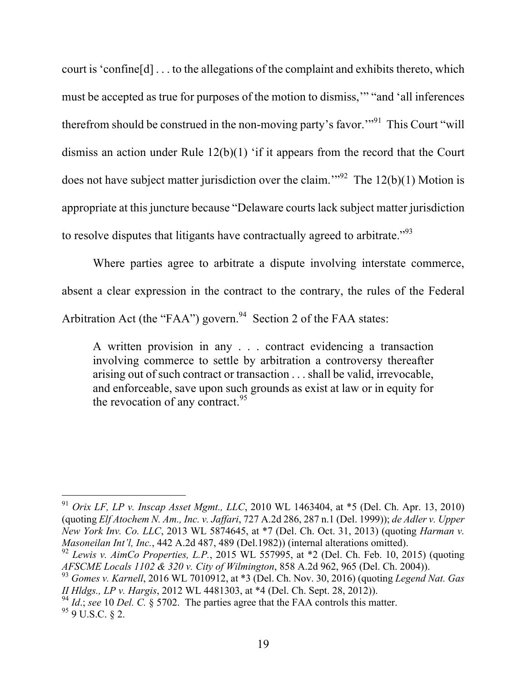court is 'confine[d] . . . to the allegations of the complaint and exhibits thereto, which must be accepted as true for purposes of the motion to dismiss,'" "and 'all inferences therefrom should be construed in the non-moving party's favor."<sup>91</sup> This Court "will dismiss an action under Rule 12(b)(1) 'if it appears from the record that the Court does not have subject matter jurisdiction over the claim.<sup>"92</sup> The  $12(b)(1)$  Motion is appropriate at this juncture because "Delaware courts lack subject matter jurisdiction to resolve disputes that litigants have contractually agreed to arbitrate."<sup>93</sup>

Where parties agree to arbitrate a dispute involving interstate commerce, absent a clear expression in the contract to the contrary, the rules of the Federal Arbitration Act (the "FAA") govern.<sup>94</sup> Section 2 of the FAA states:

A written provision in any . . . contract evidencing a transaction involving commerce to settle by arbitration a controversy thereafter arising out of such contract or transaction . . . shall be valid, irrevocable, and enforceable, save upon such grounds as exist at law or in equity for the revocation of any contract. $95$ 

<sup>91</sup> *Orix LF, LP v. Inscap Asset Mgmt., LLC*, 2010 WL 1463404, at \*5 (Del. Ch. Apr. 13, 2010) (quoting *Elf Atochem N. Am., Inc. v. Jaffari*, 727 A.2d 286, 287 n.1 (Del. 1999)); *de Adler v. Upper New York Inv. Co. LLC*, 2013 WL 5874645, at \*7 (Del. Ch. Oct. 31, 2013) (quoting *Harman v. Masoneilan Int'l, Inc.*, 442 A.2d 487, 489 (Del.1982)) (internal alterations omitted).

<sup>92</sup> *Lewis v. AimCo Properties, L.P.*, 2015 WL 557995, at \*2 (Del. Ch. Feb. 10, 2015) (quoting *AFSCME Locals 1102 & 320 v. City of Wilmington*, 858 A.2d 962, 965 (Del. Ch. 2004)).

<sup>93</sup> *Gomes v. Karnell*, 2016 WL 7010912, at \*3 (Del. Ch. Nov. 30, 2016) (quoting *Legend Nat. Gas II Hldgs., LP v. Hargis*, 2012 WL 4481303, at \*4 (Del. Ch. Sept. 28, 2012)).<br><sup>94</sup> *Id.*; *see* 10 *Del. C.* § 5702. The parties agree that the FAA controls this matter.

 $959 \text{ U.S. C. } 82.$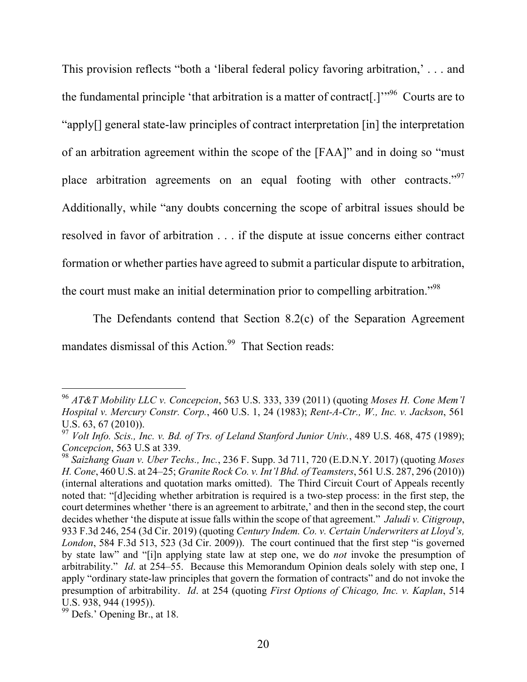This provision reflects "both a 'liberal federal policy favoring arbitration,' . . . and the fundamental principle 'that arbitration is a matter of contract<sup>[1]</sup><sup>",96</sup> Courts are to "apply[] general state-law principles of contract interpretation [in] the interpretation of an arbitration agreement within the scope of the [FAA]" and in doing so "must place arbitration agreements on an equal footing with other contracts."<sup>97</sup> Additionally, while "any doubts concerning the scope of arbitral issues should be resolved in favor of arbitration . . . if the dispute at issue concerns either contract formation or whether parties have agreed to submit a particular dispute to arbitration, the court must make an initial determination prior to compelling arbitration."<sup>98</sup>

The Defendants contend that Section 8.2(c) of the Separation Agreement mandates dismissal of this Action.<sup>99</sup> That Section reads:

<sup>96</sup> *AT&T Mobility LLC v. Concepcion*, 563 U.S. 333, 339 (2011) (quoting *Moses H. Cone Mem'l Hospital v. Mercury Constr. Corp.*, 460 U.S. 1, 24 (1983); *Rent-A-Ctr., W., Inc. v. Jackson*, 561 U.S. 63, 67 (2010)).

<sup>97</sup> *Volt Info. Scis., Inc. v. Bd. of Trs. of Leland Stanford Junior Univ.*, 489 U.S. 468, 475 (1989); *Concepcion*, 563 U.S at 339.<br><sup>98</sup> *Saizhang Guan v. Uber Techs., Inc.*, 236 F. Supp. 3d 711, 720 (E.D.N.Y. 2017) (quoting *Moses* 

*H. Cone*, 460 U.S. at 24–25; *Granite Rock Co. v. Int'l Bhd. of Teamsters*, 561 U.S. 287, 296 (2010)) (internal alterations and quotation marks omitted). The Third Circuit Court of Appeals recently noted that: "[d]eciding whether arbitration is required is a two-step process: in the first step, the court determines whether 'there is an agreement to arbitrate,' and then in the second step, the court decides whether 'the dispute at issue falls within the scope of that agreement." *Jaludi v. Citigroup*, 933 F.3d 246, 254 (3d Cir. 2019) (quoting *Century Indem. Co. v. Certain Underwriters at Lloyd's, London*, 584 F.3d 513, 523 (3d Cir. 2009)). The court continued that the first step "is governed by state law" and "[i]n applying state law at step one, we do *not* invoke the presumption of arbitrability." *Id*. at 254–55. Because this Memorandum Opinion deals solely with step one, I apply "ordinary state-law principles that govern the formation of contracts" and do not invoke the presumption of arbitrability. *Id*. at 254 (quoting *First Options of Chicago, Inc. v. Kaplan*, 514 U.S. 938, 944 (1995)).<br><sup>99</sup> Defs.' Opening Br., at 18.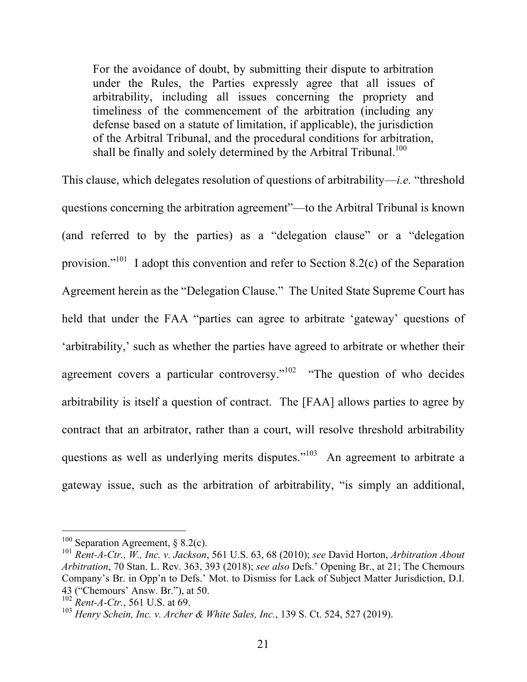For the avoidance of doubt, by submitting their dispute to arbitration under the Rules, the Parties expressly agree that all issues of arbitrability, including all issues concerning the propriety and timeliness of the commencement of the arbitration (including any defense based on a statute of limitation, if applicable), the jurisdiction of the Arbitral Tribunal, and the procedural conditions for arbitration, shall be finally and solely determined by the Arbitral Tribunal.<sup>100</sup>

This clause, which delegates resolution of questions of arbitrability—*i.e.* "threshold questions concerning the arbitration agreement"—to the Arbitral Tribunal is known (and referred to by the parties) as a "delegation clause" or a "delegation provision."<sup>101</sup> I adopt this convention and refer to Section 8.2(c) of the Separation Agreement herein as the "Delegation Clause." The United State Supreme Court has held that under the FAA "parties can agree to arbitrate 'gateway' questions of 'arbitrability,' such as whether the parties have agreed to arbitrate or whether their agreement covers a particular controversy."<sup>102</sup> "The question of who decides arbitrability is itself a question of contract. The [FAA] allows parties to agree by contract that an arbitrator, rather than a court, will resolve threshold arbitrability questions as well as underlying merits disputes."<sup>103</sup> An agreement to arbitrate a gateway issue, such as the arbitration of arbitrability, "is simply an additional,

 $100$  Separation Agreement, § 8.2(c).

<sup>101</sup> *Rent-A-Ctr., W., Inc. v. Jackson*, 561 U.S. 63, 68 (2010); *see* David Horton, *Arbitration About Arbitration*, 70 Stan. L. Rev. 363, 393 (2018); *see also* Defs.' Opening Br., at 21; The Chemours Company's Br. in Opp'n to Defs.' Mot. to Dismiss for Lack of Subject Matter Jurisdiction, D.I. 43 ("Chemours' Answ. Br."), at 50.<br><sup>102</sup> *Rent-A-Ctr.*, 561 U.S. at 69.

<sup>&</sup>lt;sup>103</sup> *Henry Schein, Inc. v. Archer & White Sales, Inc., 139 S. Ct. 524, 527 (2019).*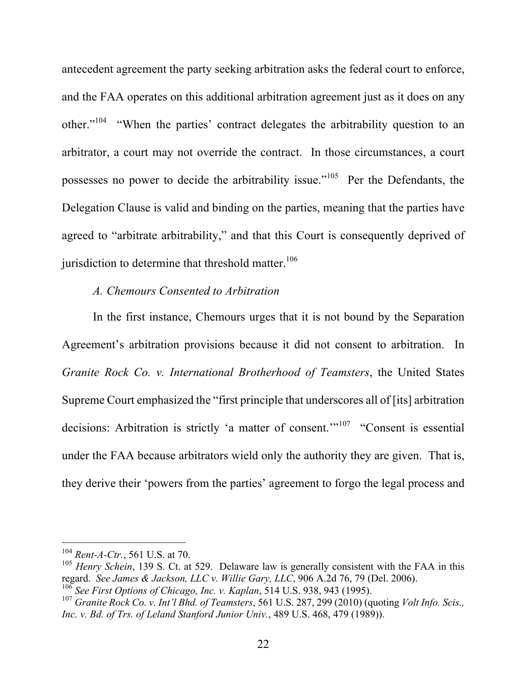antecedent agreement the party seeking arbitration asks the federal court to enforce, and the FAA operates on this additional arbitration agreement just as it does on any other."104 "When the parties' contract delegates the arbitrability question to an arbitrator, a court may not override the contract. In those circumstances, a court possesses no power to decide the arbitrability issue."<sup>105</sup> Per the Defendants, the Delegation Clause is valid and binding on the parties, meaning that the parties have agreed to "arbitrate arbitrability," and that this Court is consequently deprived of jurisdiction to determine that threshold matter.<sup>106</sup>

#### *A. Chemours Consented to Arbitration*

In the first instance, Chemours urges that it is not bound by the Separation Agreement's arbitration provisions because it did not consent to arbitration. In *Granite Rock Co. v. International Brotherhood of Teamsters*, the United States Supreme Court emphasized the "first principle that underscores all of [its] arbitration decisions: Arbitration is strictly 'a matter of consent.'"<sup>107</sup> "Consent is essential under the FAA because arbitrators wield only the authority they are given. That is, they derive their 'powers from the parties' agreement to forgo the legal process and

 $104$  Rent-A-Ctr., 561 U.S. at 70.

<sup>&</sup>lt;sup>105</sup> *Henry Schein*, 139 S. Ct. at 529. Delaware law is generally consistent with the FAA in this regard. See James & Jackson, LLC v. Willie Gary, LLC, 906 A.2d 76, 79 (Del. 2006).<br><sup>106</sup> See First Options of Chicago, Inc. v. Kaplan, 514 U.S. 938, 943 (1995).<br><sup>107</sup> Granite Rock Co. v. Int'l Bhd. of Teamsters, 561 U.S.

*Inc. v. Bd. of Trs. of Leland Stanford Junior Univ.*, 489 U.S. 468, 479 (1989)).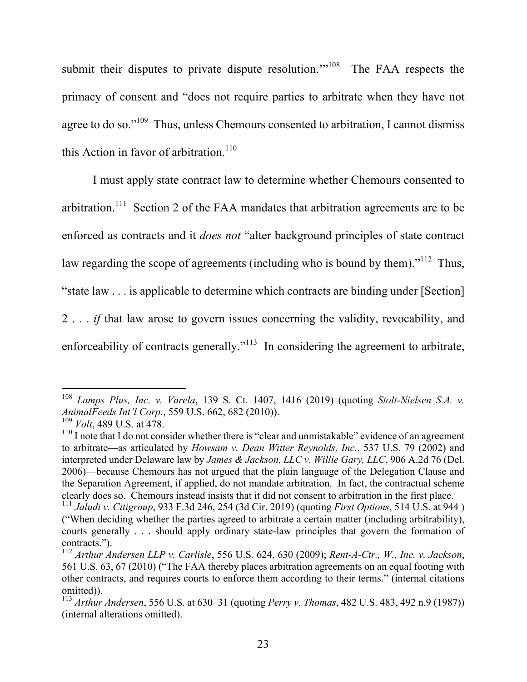submit their disputes to private dispute resolution."<sup>108</sup> The FAA respects the primacy of consent and "does not require parties to arbitrate when they have not agree to do so."<sup>109</sup> Thus, unless Chemours consented to arbitration, I cannot dismiss this Action in favor of arbitration.<sup>110</sup>

I must apply state contract law to determine whether Chemours consented to arbitration.<sup>111</sup> Section 2 of the FAA mandates that arbitration agreements are to be enforced as contracts and it *does not* "alter background principles of state contract law regarding the scope of agreements (including who is bound by them)."<sup>112</sup> Thus, "state law . . . is applicable to determine which contracts are binding under [Section] 2 . . . *if* that law arose to govern issues concerning the validity, revocability, and enforceability of contracts generally."<sup>113</sup> In considering the agreement to arbitrate,

 $\overline{a}$ <sup>108</sup> *Lamps Plus, Inc. v. Varela*, 139 S. Ct. 1407, 1416 (2019) (quoting *Stolt-Nielsen S.A. v. AnimalFeeds Int'l Corp.*, 559 U.S. 662, 682 (2010)).<br><sup>109</sup> *Volt*, 489 U.S. at 478.

<sup>&</sup>lt;sup>110</sup> I note that I do not consider whether there is "clear and unmistakable" evidence of an agreement to arbitrate—as articulated by *Howsam v. Dean Witter Reynolds, Inc.*, 537 U.S. 79 (2002) and interpreted under Delaware law by *James & Jackson, LLC v. Willie Gary, LLC*, 906 A.2d 76 (Del. 2006)—because Chemours has not argued that the plain language of the Delegation Clause and the Separation Agreement, if applied, do not mandate arbitration. In fact, the contractual scheme clearly does so. Chemours instead insists that it did not consent to arbitration in the first place.

<sup>111</sup> *Jaludi v. Citigroup*, 933 F.3d 246, 254 (3d Cir. 2019) (quoting *First Options*, 514 U.S. at 944 ) ("When deciding whether the parties agreed to arbitrate a certain matter (including arbitrability), courts generally . . . should apply ordinary state-law principles that govern the formation of contracts.").

<sup>112</sup> *Arthur Andersen LLP v. Carlisle*, 556 U.S. 624, 630 (2009); *Rent-A-Ctr., W., Inc. v. Jackson*, 561 U.S. 63, 67 (2010) ("The FAA thereby places arbitration agreements on an equal footing with other contracts, and requires courts to enforce them according to their terms." (internal citations omitted)).

<sup>113</sup> *Arthur Andersen*, 556 U.S. at 630–31 (quoting *Perry v. Thomas*, 482 U.S. 483, 492 n.9 (1987)) (internal alterations omitted).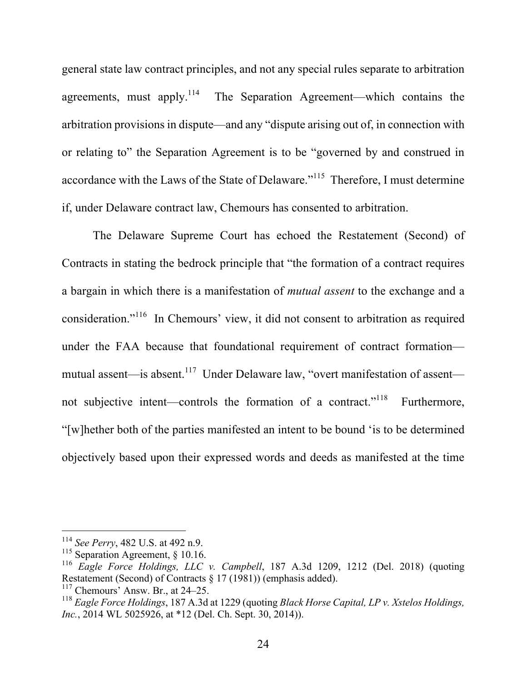general state law contract principles, and not any special rules separate to arbitration agreements, must apply.<sup>114</sup> The Separation Agreement—which contains the arbitration provisions in dispute—and any "dispute arising out of, in connection with or relating to" the Separation Agreement is to be "governed by and construed in accordance with the Laws of the State of Delaware."115 Therefore, I must determine if, under Delaware contract law, Chemours has consented to arbitration.

The Delaware Supreme Court has echoed the Restatement (Second) of Contracts in stating the bedrock principle that "the formation of a contract requires a bargain in which there is a manifestation of *mutual assent* to the exchange and a consideration."116 In Chemours' view, it did not consent to arbitration as required under the FAA because that foundational requirement of contract formation mutual assent—is absent.<sup>117</sup> Under Delaware law, "overt manifestation of assent not subjective intent—controls the formation of a contract."<sup>118</sup> Furthermore, "[w]hether both of the parties manifested an intent to be bound 'is to be determined objectively based upon their expressed words and deeds as manifested at the time

<sup>&</sup>lt;sup>114</sup> *See Perry*, 482 U.S. at 492 n.9.<br><sup>115</sup> Separation Agreement, § 10.16.

<sup>116</sup> *Eagle Force Holdings, LLC v. Campbell*, 187 A.3d 1209, 1212 (Del. 2018) (quoting Restatement (Second) of Contracts § 17 (1981)) (emphasis added).<br><sup>117</sup> Chemours' Answ. Br., at 24–25.

<sup>118</sup> *Eagle Force Holdings*, 187 A.3d at 1229 (quoting *Black Horse Capital, LP v. Xstelos Holdings, Inc.*, 2014 WL 5025926, at \*12 (Del. Ch. Sept. 30, 2014)).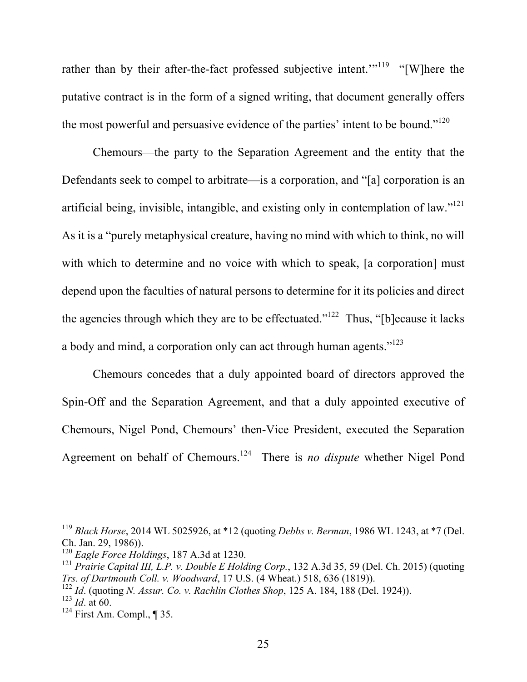rather than by their after-the-fact professed subjective intent."<sup>119</sup> "[W]here the putative contract is in the form of a signed writing, that document generally offers the most powerful and persuasive evidence of the parties' intent to be bound."<sup>120</sup>

Chemours—the party to the Separation Agreement and the entity that the Defendants seek to compel to arbitrate—is a corporation, and "[a] corporation is an artificial being, invisible, intangible, and existing only in contemplation of law."<sup>121</sup> As it is a "purely metaphysical creature, having no mind with which to think, no will with which to determine and no voice with which to speak, [a corporation] must depend upon the faculties of natural persons to determine for it its policies and direct the agencies through which they are to be effectuated." $1^{122}$  Thus, "[b]ecause it lacks a body and mind, a corporation only can act through human agents."<sup>123</sup>

Chemours concedes that a duly appointed board of directors approved the Spin-Off and the Separation Agreement, and that a duly appointed executive of Chemours, Nigel Pond, Chemours' then-Vice President, executed the Separation Agreement on behalf of Chemours.124 There is *no dispute* whether Nigel Pond

<sup>119</sup> *Black Horse*, 2014 WL 5025926, at \*12 (quoting *Debbs v. Berman*, 1986 WL 1243, at \*7 (Del.

Ch. Jan. 29, 1986)).<br><sup>120</sup> *Eagle Force Holdings*, 187 A.3d at 1230.<br><sup>121</sup> *Prairie Capital III, L.P. v. Double E Holding Corp.*, 132 A.3d 35, 59 (Del. Ch. 2015) (quoting *Trs. of Dartmouth Coll. v. Woodward*, 17 U.S. (4 W

<sup>&</sup>lt;sup>122</sup> Id. (quoting *N. Assur. Co. v. Rachlin Clothes Shop*, 125 A. 184, 188 (Del. 1924)). <sup>123</sup> Id. at 60.

<sup>&</sup>lt;sup>124</sup> First Am. Compl., ¶ 35.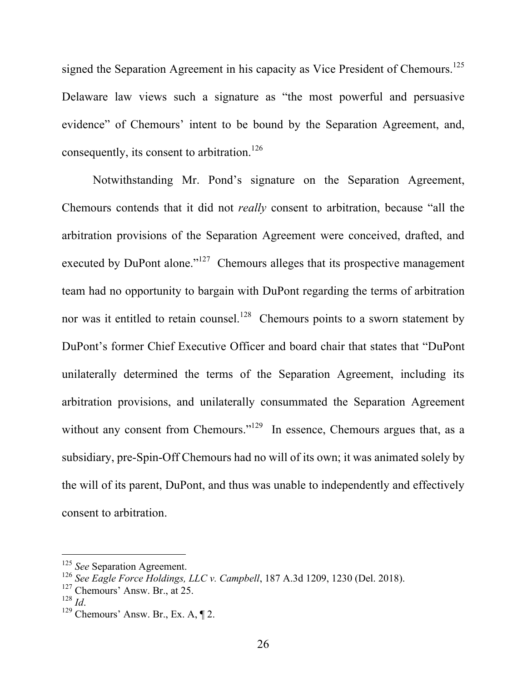signed the Separation Agreement in his capacity as Vice President of Chemours.<sup>125</sup> Delaware law views such a signature as "the most powerful and persuasive evidence" of Chemours' intent to be bound by the Separation Agreement, and, consequently, its consent to arbitration.<sup>126</sup>

Notwithstanding Mr. Pond's signature on the Separation Agreement, Chemours contends that it did not *really* consent to arbitration, because "all the arbitration provisions of the Separation Agreement were conceived, drafted, and executed by DuPont alone."<sup>127</sup> Chemours alleges that its prospective management team had no opportunity to bargain with DuPont regarding the terms of arbitration nor was it entitled to retain counsel.<sup>128</sup> Chemours points to a sworn statement by DuPont's former Chief Executive Officer and board chair that states that "DuPont unilaterally determined the terms of the Separation Agreement, including its arbitration provisions, and unilaterally consummated the Separation Agreement without any consent from Chemours."<sup>129</sup> In essence, Chemours argues that, as a subsidiary, pre-Spin-Off Chemours had no will of its own; it was animated solely by the will of its parent, DuPont, and thus was unable to independently and effectively consent to arbitration.

<sup>125</sup> *See* Separation Agreement.

<sup>126</sup> *See Eagle Force Holdings, LLC v. Campbell*, 187 A.3d 1209, 1230 (Del. 2018).

 $^{127}_{128}$  Chemours' Answ. Br., at 25.

<sup>&</sup>lt;sup>129</sup> Chemours' Answ. Br., Ex. A, ¶ 2.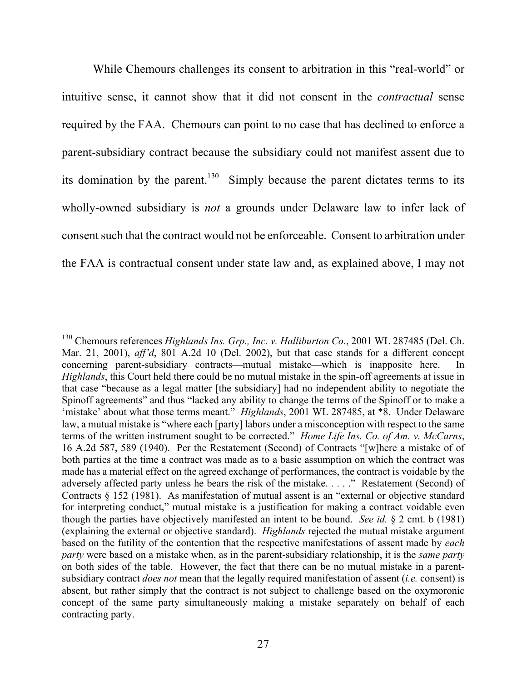While Chemours challenges its consent to arbitration in this "real-world" or intuitive sense, it cannot show that it did not consent in the *contractual* sense required by the FAA. Chemours can point to no case that has declined to enforce a parent-subsidiary contract because the subsidiary could not manifest assent due to its domination by the parent.<sup>130</sup> Simply because the parent dictates terms to its wholly-owned subsidiary is *not* a grounds under Delaware law to infer lack of consent such that the contract would not be enforceable. Consent to arbitration under the FAA is contractual consent under state law and, as explained above, I may not

<sup>130</sup> Chemours references *Highlands Ins. Grp., Inc. v. Halliburton Co.*, 2001 WL 287485 (Del. Ch. Mar. 21, 2001), *aff'd*, 801 A.2d 10 (Del. 2002), but that case stands for a different concept concerning parent-subsidiary contracts—mutual mistake—which is inapposite here. In *Highlands*, this Court held there could be no mutual mistake in the spin-off agreements at issue in that case "because as a legal matter [the subsidiary] had no independent ability to negotiate the Spinoff agreements" and thus "lacked any ability to change the terms of the Spinoff or to make a 'mistake' about what those terms meant." *Highlands*, 2001 WL 287485, at \*8. Under Delaware law, a mutual mistake is "where each [party] labors under a misconception with respect to the same terms of the written instrument sought to be corrected." *Home Life Ins. Co. of Am. v. McCarns*, 16 A.2d 587, 589 (1940). Per the Restatement (Second) of Contracts "[w]here a mistake of of both parties at the time a contract was made as to a basic assumption on which the contract was made has a material effect on the agreed exchange of performances, the contract is voidable by the adversely affected party unless he bears the risk of the mistake. . . . ." Restatement (Second) of Contracts § 152 (1981). As manifestation of mutual assent is an "external or objective standard for interpreting conduct," mutual mistake is a justification for making a contract voidable even though the parties have objectively manifested an intent to be bound. *See id.* § 2 cmt. b (1981) (explaining the external or objective standard). *Highlands* rejected the mutual mistake argument based on the futility of the contention that the respective manifestations of assent made by *each party* were based on a mistake when, as in the parent-subsidiary relationship, it is the *same party* on both sides of the table. However, the fact that there can be no mutual mistake in a parentsubsidiary contract *does not* mean that the legally required manifestation of assent (*i.e.* consent) is absent, but rather simply that the contract is not subject to challenge based on the oxymoronic concept of the same party simultaneously making a mistake separately on behalf of each contracting party.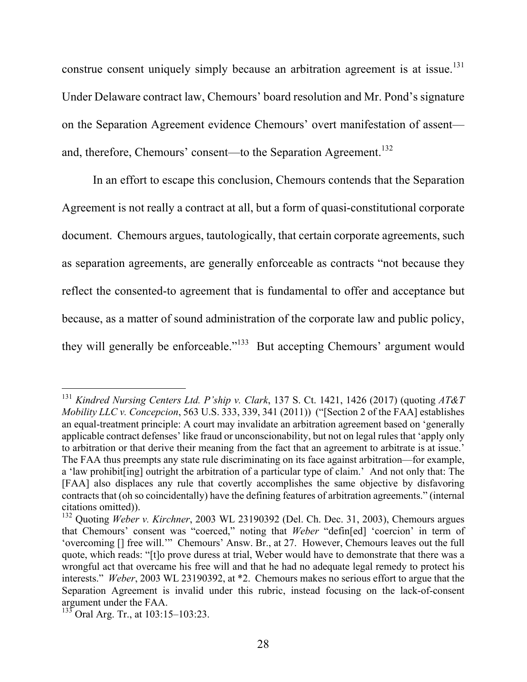construe consent uniquely simply because an arbitration agreement is at issue.<sup>131</sup> Under Delaware contract law, Chemours' board resolution and Mr. Pond's signature on the Separation Agreement evidence Chemours' overt manifestation of assent and, therefore, Chemours' consent—to the Separation Agreement.<sup>132</sup>

In an effort to escape this conclusion, Chemours contends that the Separation Agreement is not really a contract at all, but a form of quasi-constitutional corporate document. Chemours argues, tautologically, that certain corporate agreements, such as separation agreements, are generally enforceable as contracts "not because they reflect the consented-to agreement that is fundamental to offer and acceptance but because, as a matter of sound administration of the corporate law and public policy, they will generally be enforceable."<sup>133</sup> But accepting Chemours' argument would

<sup>131</sup> *Kindred Nursing Centers Ltd. P'ship v. Clark*, 137 S. Ct. 1421, 1426 (2017) (quoting *AT&T Mobility LLC v. Concepcion*, 563 U.S. 333, 339, 341 (2011)) ("[Section 2 of the FAA] establishes an equal-treatment principle: A court may invalidate an arbitration agreement based on 'generally applicable contract defenses' like fraud or unconscionability, but not on legal rules that 'apply only to arbitration or that derive their meaning from the fact that an agreement to arbitrate is at issue.' The FAA thus preempts any state rule discriminating on its face against arbitration—for example, a 'law prohibit[ing] outright the arbitration of a particular type of claim.' And not only that: The [FAA] also displaces any rule that covertly accomplishes the same objective by disfavoring contracts that (oh so coincidentally) have the defining features of arbitration agreements." (internal

citations omitted)). <sup>132</sup> Quoting *Weber v. Kirchner*, 2003 WL 23190392 (Del. Ch. Dec. 31, 2003), Chemours argues that Chemours' consent was "coerced," noting that *Weber* "defin[ed] 'coercion' in term of 'overcoming [] free will.'" Chemours' Answ. Br., at 27. However, Chemours leaves out the full quote, which reads: "[t]o prove duress at trial, Weber would have to demonstrate that there was a wrongful act that overcame his free will and that he had no adequate legal remedy to protect his interests." *Weber*, 2003 WL 23190392, at \*2. Chemours makes no serious effort to argue that the Separation Agreement is invalid under this rubric, instead focusing on the lack-of-consent argument under the FAA.

 $133$  Oral Arg. Tr., at 103:15–103:23.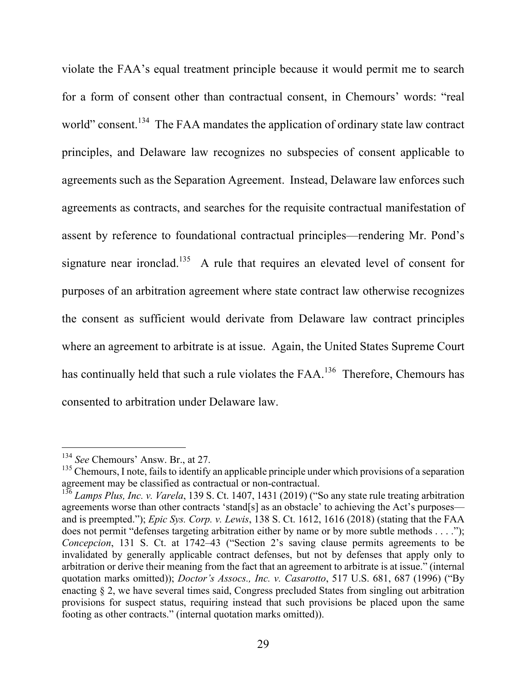violate the FAA's equal treatment principle because it would permit me to search for a form of consent other than contractual consent, in Chemours' words: "real world" consent.<sup>134</sup> The FAA mandates the application of ordinary state law contract principles, and Delaware law recognizes no subspecies of consent applicable to agreements such as the Separation Agreement. Instead, Delaware law enforces such agreements as contracts, and searches for the requisite contractual manifestation of assent by reference to foundational contractual principles—rendering Mr. Pond's signature near ironclad.<sup>135</sup> A rule that requires an elevated level of consent for purposes of an arbitration agreement where state contract law otherwise recognizes the consent as sufficient would derivate from Delaware law contract principles where an agreement to arbitrate is at issue. Again, the United States Supreme Court has continually held that such a rule violates the FAA.<sup>136</sup> Therefore, Chemours has consented to arbitration under Delaware law.

<sup>134</sup> *See* Chemours' Answ. Br., at 27.

<sup>&</sup>lt;sup>135</sup> Chemours, I note, fails to identify an applicable principle under which provisions of a separation agreement may be classified as contractual or non-contractual.

<sup>&</sup>lt;sup>136</sup> *Lamps Plus, Inc. v. Varela*, 139 S. Ct. 1407, 1431 (2019) ("So any state rule treating arbitration agreements worse than other contracts 'stand[s] as an obstacle' to achieving the Act's purposes and is preempted."); *Epic Sys. Corp. v. Lewis*, 138 S. Ct. 1612, 1616 (2018) (stating that the FAA does not permit "defenses targeting arbitration either by name or by more subtle methods . . . ."); *Concepcion*, 131 S. Ct. at 1742–43 ("Section 2's saving clause permits agreements to be invalidated by generally applicable contract defenses, but not by defenses that apply only to arbitration or derive their meaning from the fact that an agreement to arbitrate is at issue." (internal quotation marks omitted)); *Doctor's Assocs., Inc. v. Casarotto*, 517 U.S. 681, 687 (1996) ("By enacting § 2, we have several times said, Congress precluded States from singling out arbitration provisions for suspect status, requiring instead that such provisions be placed upon the same footing as other contracts." (internal quotation marks omitted)).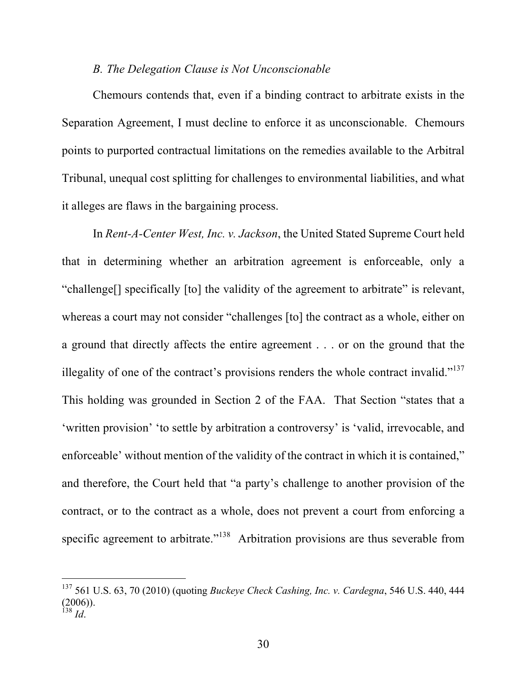#### *B. The Delegation Clause is Not Unconscionable*

Chemours contends that, even if a binding contract to arbitrate exists in the Separation Agreement, I must decline to enforce it as unconscionable. Chemours points to purported contractual limitations on the remedies available to the Arbitral Tribunal, unequal cost splitting for challenges to environmental liabilities, and what it alleges are flaws in the bargaining process.

In *Rent-A-Center West, Inc. v. Jackson*, the United Stated Supreme Court held that in determining whether an arbitration agreement is enforceable, only a "challenge[] specifically [to] the validity of the agreement to arbitrate" is relevant, whereas a court may not consider "challenges [to] the contract as a whole, either on a ground that directly affects the entire agreement . . . or on the ground that the illegality of one of the contract's provisions renders the whole contract invalid." $137$ This holding was grounded in Section 2 of the FAA. That Section "states that a 'written provision' 'to settle by arbitration a controversy' is 'valid, irrevocable, and enforceable' without mention of the validity of the contract in which it is contained," and therefore, the Court held that "a party's challenge to another provision of the contract, or to the contract as a whole, does not prevent a court from enforcing a specific agreement to arbitrate."<sup>138</sup> Arbitration provisions are thus severable from

<sup>137</sup> 561 U.S. 63, 70 (2010) (quoting *Buckeye Check Cashing, Inc. v. Cardegna*, 546 U.S. 440, 444  $(2006)$ ). <sup>138</sup> *Id*.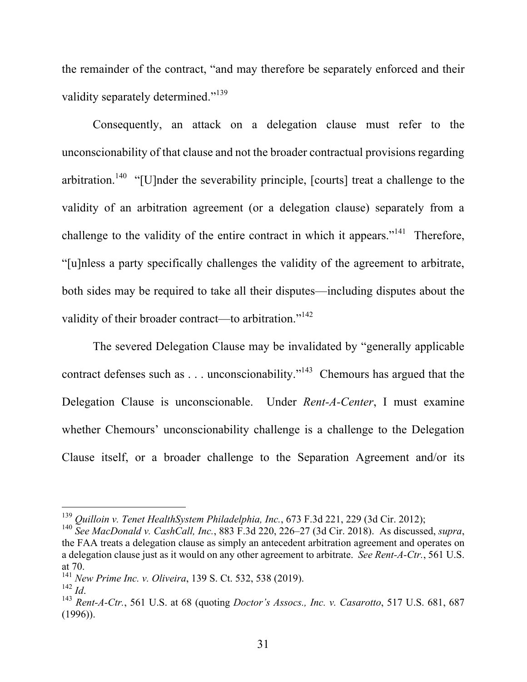the remainder of the contract, "and may therefore be separately enforced and their validity separately determined."<sup>139</sup>

Consequently, an attack on a delegation clause must refer to the unconscionability of that clause and not the broader contractual provisions regarding arbitration.<sup>140</sup> "[U]nder the severability principle, [courts] treat a challenge to the validity of an arbitration agreement (or a delegation clause) separately from a challenge to the validity of the entire contract in which it appears."<sup>141</sup> Therefore, "[u]nless a party specifically challenges the validity of the agreement to arbitrate, both sides may be required to take all their disputes—including disputes about the validity of their broader contract—to arbitration."<sup>142</sup>

The severed Delegation Clause may be invalidated by "generally applicable contract defenses such as . . . unconscionability."143 Chemours has argued that the Delegation Clause is unconscionable. Under *Rent-A-Center*, I must examine whether Chemours' unconscionability challenge is a challenge to the Delegation Clause itself, or a broader challenge to the Separation Agreement and/or its

<sup>139</sup> *Quilloin v. Tenet HealthSystem Philadelphia, Inc.*, 673 F.3d 221, 229 (3d Cir. 2012);

<sup>140</sup> *See MacDonald v. CashCall, Inc.*, 883 F.3d 220, 226–27 (3d Cir. 2018). As discussed, *supra*, the FAA treats a delegation clause as simply an antecedent arbitration agreement and operates on a delegation clause just as it would on any other agreement to arbitrate. *See Rent-A-Ctr.*, 561 U.S. at 70.

<sup>141</sup> *New Prime Inc. v. Oliveira*, 139 S. Ct. 532, 538 (2019).

<sup>&</sup>lt;sup>143</sup> *Rent-A-Ctr.*, 561 U.S. at 68 (quoting *Doctor's Assocs., Inc. v. Casarotto*, 517 U.S. 681, 687 (1996)).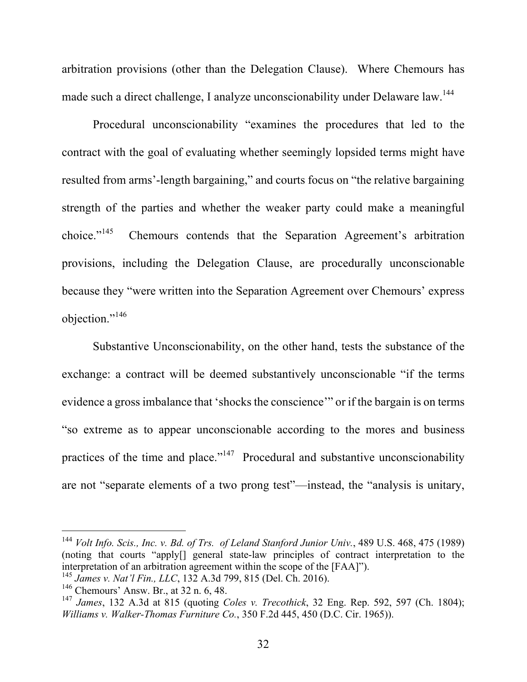arbitration provisions (other than the Delegation Clause). Where Chemours has made such a direct challenge, I analyze unconscionability under Delaware law.<sup>144</sup>

Procedural unconscionability "examines the procedures that led to the contract with the goal of evaluating whether seemingly lopsided terms might have resulted from arms'-length bargaining," and courts focus on "the relative bargaining strength of the parties and whether the weaker party could make a meaningful choice."<sup>145</sup> Chemours contends that the Separation Agreement's arbitration provisions, including the Delegation Clause, are procedurally unconscionable because they "were written into the Separation Agreement over Chemours' express objection."<sup>146</sup>

Substantive Unconscionability, on the other hand, tests the substance of the exchange: a contract will be deemed substantively unconscionable "if the terms evidence a gross imbalance that 'shocks the conscience'" or if the bargain is on terms "so extreme as to appear unconscionable according to the mores and business practices of the time and place."<sup>147</sup> Procedural and substantive unconscionability are not "separate elements of a two prong test"—instead, the "analysis is unitary,

<sup>144</sup> *Volt Info. Scis., Inc. v. Bd. of Trs. of Leland Stanford Junior Univ.*, 489 U.S. 468, 475 (1989) (noting that courts "apply[] general state-law principles of contract interpretation to the interpretation of an arbitration agreement within the scope of the [FAA]"). <sup>145</sup> *James v. Nat'l Fin., LLC*, 132 A.3d 799, 815 (Del. Ch. 2016).

<sup>146</sup> Chemours' Answ. Br., at 32 n. 6, 48.

<sup>147</sup> *James*, 132 A.3d at 815 (quoting *Coles v. Trecothick*, 32 Eng. Rep. 592, 597 (Ch. 1804); *Williams v. Walker-Thomas Furniture Co.*, 350 F.2d 445, 450 (D.C. Cir. 1965)).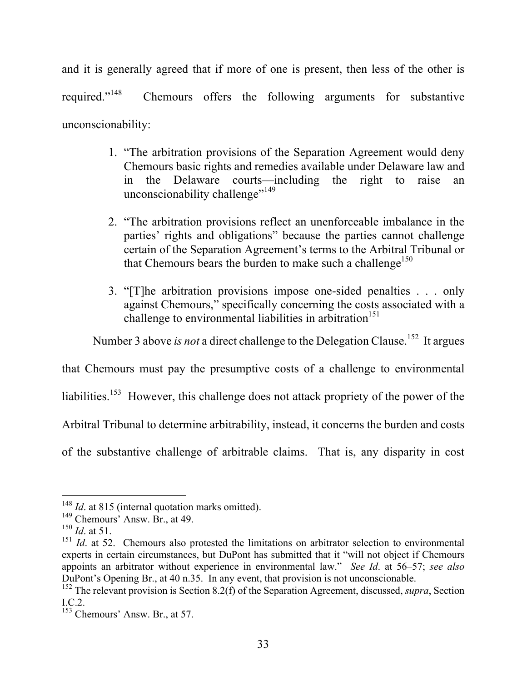and it is generally agreed that if more of one is present, then less of the other is required."<sup>148</sup> Chemours offers the following arguments for substantive unconscionability:

- 1. "The arbitration provisions of the Separation Agreement would deny Chemours basic rights and remedies available under Delaware law and in the Delaware courts—including the right to raise an unconscionability challenge"<sup>149</sup>
- 2. "The arbitration provisions reflect an unenforceable imbalance in the parties' rights and obligations" because the parties cannot challenge certain of the Separation Agreement's terms to the Arbitral Tribunal or that Chemours bears the burden to make such a challenge<sup>150</sup>
- 3. "[T]he arbitration provisions impose one-sided penalties . . . only against Chemours," specifically concerning the costs associated with a challenge to environmental liabilities in arbitration<sup>151</sup>

Number 3 above *is not* a direct challenge to the Delegation Clause.<sup>152</sup> It argues

that Chemours must pay the presumptive costs of a challenge to environmental

liabilities.<sup>153</sup> However, this challenge does not attack propriety of the power of the

Arbitral Tribunal to determine arbitrability, instead, it concerns the burden and costs

of the substantive challenge of arbitrable claims. That is, any disparity in cost

<sup>&</sup>lt;sup>148</sup> *Id.* at 815 (internal quotation marks omitted).

 $149$  Chemours' Answ. Br., at 49.

<sup>150</sup> *Id*. at 51.

<sup>&</sup>lt;sup>151</sup> *Id.* at 52. Chemours also protested the limitations on arbitrator selection to environmental experts in certain circumstances, but DuPont has submitted that it "will not object if Chemours appoints an arbitrator without experience in environmental law." *See Id*. at 56–57; *see also* DuPont's Opening Br., at 40 n.35. In any event, that provision is not unconscionable.

<sup>152</sup> The relevant provision is Section 8.2(f) of the Separation Agreement, discussed, *supra*, Section I.C.2.

<sup>153</sup> Chemours' Answ. Br., at 57.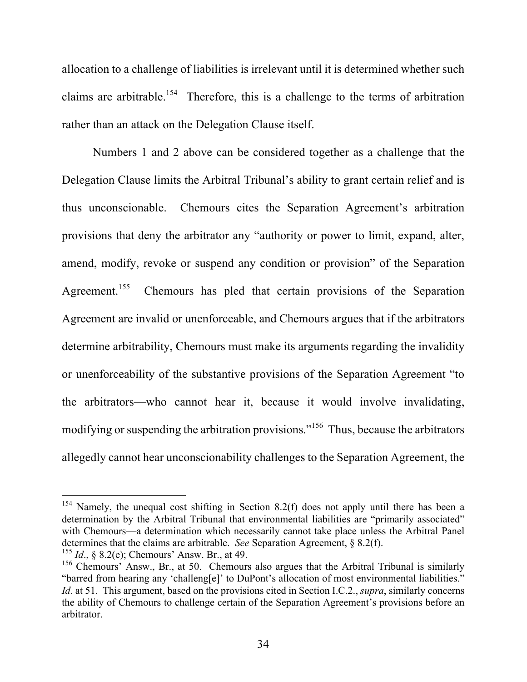allocation to a challenge of liabilities is irrelevant until it is determined whether such claims are arbitrable.<sup>154</sup> Therefore, this is a challenge to the terms of arbitration rather than an attack on the Delegation Clause itself.

Numbers 1 and 2 above can be considered together as a challenge that the Delegation Clause limits the Arbitral Tribunal's ability to grant certain relief and is thus unconscionable. Chemours cites the Separation Agreement's arbitration provisions that deny the arbitrator any "authority or power to limit, expand, alter, amend, modify, revoke or suspend any condition or provision" of the Separation Agreement.<sup>155</sup> Chemours has pled that certain provisions of the Separation Agreement are invalid or unenforceable, and Chemours argues that if the arbitrators determine arbitrability, Chemours must make its arguments regarding the invalidity or unenforceability of the substantive provisions of the Separation Agreement "to the arbitrators—who cannot hear it, because it would involve invalidating, modifying or suspending the arbitration provisions."<sup>156</sup> Thus, because the arbitrators allegedly cannot hear unconscionability challenges to the Separation Agreement, the

 $154$  Namely, the unequal cost shifting in Section 8.2(f) does not apply until there has been a determination by the Arbitral Tribunal that environmental liabilities are "primarily associated" with Chemours—a determination which necessarily cannot take place unless the Arbitral Panel determines that the claims are arbitrable. *See* Separation Agreement, § 8.2(f).

<sup>155</sup> *Id*., § 8.2(e); Chemours' Answ. Br., at 49.

<sup>&</sup>lt;sup>156</sup> Chemours' Answ., Br., at 50. Chemours also argues that the Arbitral Tribunal is similarly "barred from hearing any 'challeng[e]' to DuPont's allocation of most environmental liabilities." *Id*. at 51. This argument, based on the provisions cited in Section I.C.2., *supra*, similarly concerns the ability of Chemours to challenge certain of the Separation Agreement's provisions before an arbitrator.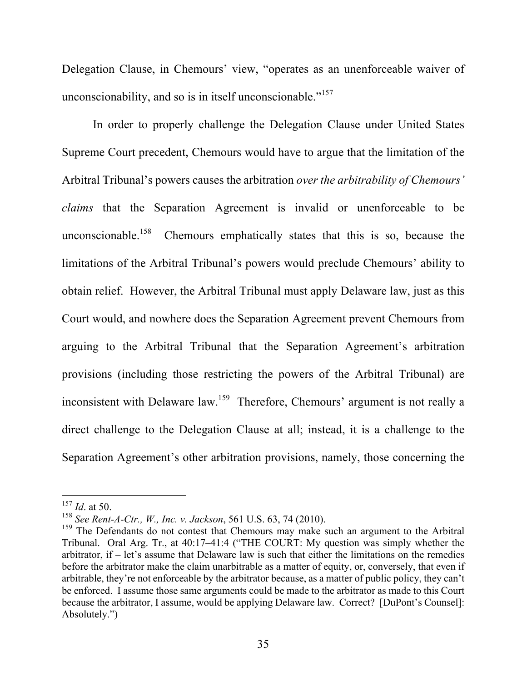Delegation Clause, in Chemours' view, "operates as an unenforceable waiver of unconscionability, and so is in itself unconscionable."<sup>157</sup>

In order to properly challenge the Delegation Clause under United States Supreme Court precedent, Chemours would have to argue that the limitation of the Arbitral Tribunal's powers causes the arbitration *over the arbitrability of Chemours' claims* that the Separation Agreement is invalid or unenforceable to be unconscionable.<sup>158</sup> Chemours emphatically states that this is so, because the limitations of the Arbitral Tribunal's powers would preclude Chemours' ability to obtain relief. However, the Arbitral Tribunal must apply Delaware law, just as this Court would, and nowhere does the Separation Agreement prevent Chemours from arguing to the Arbitral Tribunal that the Separation Agreement's arbitration provisions (including those restricting the powers of the Arbitral Tribunal) are inconsistent with Delaware law.159 Therefore, Chemours' argument is not really a direct challenge to the Delegation Clause at all; instead, it is a challenge to the Separation Agreement's other arbitration provisions, namely, those concerning the

<sup>157</sup> *Id*. at 50.

<sup>&</sup>lt;sup>158</sup> *See Rent-A-Ctr., W., Inc. v. Jackson*, 561 U.S. 63, 74 (2010).<br><sup>159</sup> The Defendants do not contest that Chemours may make such an argument to the Arbitral Tribunal. Oral Arg. Tr., at 40:17–41:4 ("THE COURT: My question was simply whether the arbitrator, if – let's assume that Delaware law is such that either the limitations on the remedies before the arbitrator make the claim unarbitrable as a matter of equity, or, conversely, that even if arbitrable, they're not enforceable by the arbitrator because, as a matter of public policy, they can't be enforced. I assume those same arguments could be made to the arbitrator as made to this Court because the arbitrator, I assume, would be applying Delaware law. Correct? [DuPont's Counsel]: Absolutely.")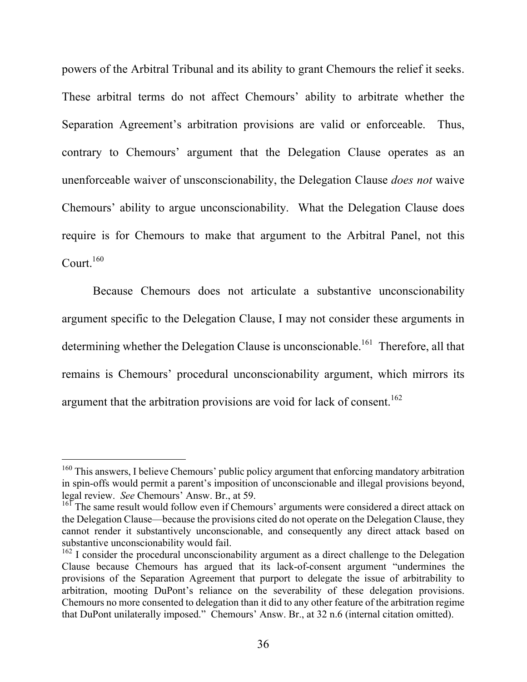powers of the Arbitral Tribunal and its ability to grant Chemours the relief it seeks. These arbitral terms do not affect Chemours' ability to arbitrate whether the Separation Agreement's arbitration provisions are valid or enforceable. Thus, contrary to Chemours' argument that the Delegation Clause operates as an unenforceable waiver of unsconscionability, the Delegation Clause *does not* waive Chemours' ability to argue unconscionability. What the Delegation Clause does require is for Chemours to make that argument to the Arbitral Panel, not this Court. 160

Because Chemours does not articulate a substantive unconscionability argument specific to the Delegation Clause, I may not consider these arguments in determining whether the Delegation Clause is unconscionable.<sup>161</sup> Therefore, all that remains is Chemours' procedural unconscionability argument, which mirrors its argument that the arbitration provisions are void for lack of consent.<sup>162</sup>

<sup>&</sup>lt;sup>160</sup> This answers, I believe Chemours' public policy argument that enforcing mandatory arbitration in spin-offs would permit a parent's imposition of unconscionable and illegal provisions beyond, legal review. *See* Chemours' Answ. Br., at 59. <sup>161</sup> The same result would follow even if Chemours' arguments were considered a direct attack on

the Delegation Clause—because the provisions cited do not operate on the Delegation Clause, they cannot render it substantively unconscionable, and consequently any direct attack based on substantive unconscionability would fail.

 $162$  I consider the procedural unconscionability argument as a direct challenge to the Delegation Clause because Chemours has argued that its lack-of-consent argument "undermines the provisions of the Separation Agreement that purport to delegate the issue of arbitrability to arbitration, mooting DuPont's reliance on the severability of these delegation provisions. Chemours no more consented to delegation than it did to any other feature of the arbitration regime that DuPont unilaterally imposed." Chemours' Answ. Br., at 32 n.6 (internal citation omitted).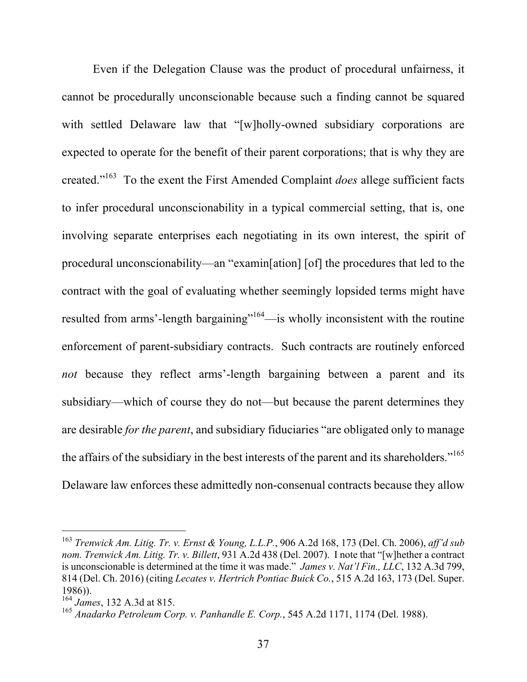Even if the Delegation Clause was the product of procedural unfairness, it cannot be procedurally unconscionable because such a finding cannot be squared with settled Delaware law that "[w]holly-owned subsidiary corporations are expected to operate for the benefit of their parent corporations; that is why they are created."163 To the exent the First Amended Complaint *does* allege sufficient facts to infer procedural unconscionability in a typical commercial setting, that is, one involving separate enterprises each negotiating in its own interest, the spirit of procedural unconscionability—an "examin[ation] [of] the procedures that led to the contract with the goal of evaluating whether seemingly lopsided terms might have resulted from arms'-length bargaining"<sup>164</sup>—is wholly inconsistent with the routine enforcement of parent-subsidiary contracts. Such contracts are routinely enforced *not* because they reflect arms'-length bargaining between a parent and its subsidiary—which of course they do not—but because the parent determines they are desirable *for the parent*, and subsidiary fiduciaries "are obligated only to manage the affairs of the subsidiary in the best interests of the parent and its shareholders."<sup>165</sup> Delaware law enforces these admittedly non-consenual contracts because they allow

<sup>163</sup> *Trenwick Am. Litig. Tr. v. Ernst & Young, L.L.P.*, 906 A.2d 168, 173 (Del. Ch. 2006), *aff'd sub nom. Trenwick Am. Litig. Tr. v. Billett*, 931 A.2d 438 (Del. 2007). I note that "[w]hether a contract is unconscionable is determined at the time it was made." *James v. Nat'l Fin., LLC*, 132 A.3d 799, 814 (Del. Ch. 2016) (citing *Lecates v. Hertrich Pontiac Buick Co.*, 515 A.2d 163, 173 (Del. Super. 1986)).<br> $164$  James, 132 A.3d at 815.

<sup>164</sup> *James*, 132 A.3d at 815. <sup>165</sup> *Anadarko Petroleum Corp. v. Panhandle E. Corp.*, 545 A.2d 1171, 1174 (Del. 1988).